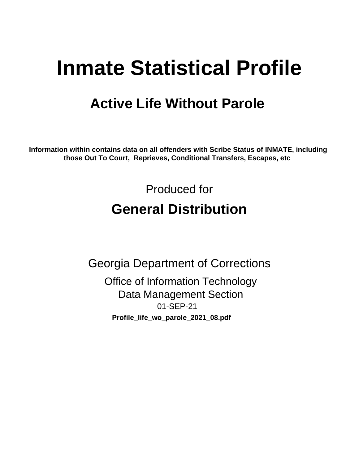# **Inmate Statistical Profile**

# **Active Life Without Parole**

Information within contains data on all offenders with Scribe Status of INMATE, including those Out To Court, Reprieves, Conditional Transfers, Escapes, etc

> Produced for **General Distribution**

**Georgia Department of Corrections Office of Information Technology Data Management Section** 01-SEP-21 Profile\_life\_wo\_parole\_2021\_08.pdf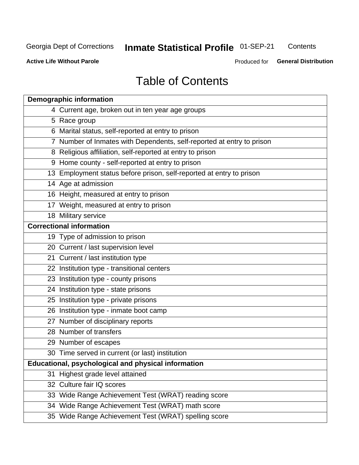# **Inmate Statistical Profile 01-SEP-21**

Contents

**Active Life Without Parole** 

Produced for General Distribution

# **Table of Contents**

|    | <b>Demographic information</b>                                        |
|----|-----------------------------------------------------------------------|
|    | 4 Current age, broken out in ten year age groups                      |
|    | 5 Race group                                                          |
|    | 6 Marital status, self-reported at entry to prison                    |
|    | 7 Number of Inmates with Dependents, self-reported at entry to prison |
|    | 8 Religious affiliation, self-reported at entry to prison             |
|    | 9 Home county - self-reported at entry to prison                      |
|    | 13 Employment status before prison, self-reported at entry to prison  |
|    | 14 Age at admission                                                   |
|    | 16 Height, measured at entry to prison                                |
|    | 17 Weight, measured at entry to prison                                |
|    | 18 Military service                                                   |
|    | <b>Correctional information</b>                                       |
|    | 19 Type of admission to prison                                        |
|    | 20 Current / last supervision level                                   |
|    | 21 Current / last institution type                                    |
|    | 22 Institution type - transitional centers                            |
|    | 23 Institution type - county prisons                                  |
|    | 24 Institution type - state prisons                                   |
|    | 25 Institution type - private prisons                                 |
|    | 26 Institution type - inmate boot camp                                |
|    | 27 Number of disciplinary reports                                     |
|    | 28 Number of transfers                                                |
|    | 29 Number of escapes                                                  |
|    | 30 Time served in current (or last) institution                       |
|    | Educational, psychological and physical information                   |
| 31 | Highest grade level attained                                          |
|    | 32 Culture fair IQ scores                                             |
|    | 33 Wide Range Achievement Test (WRAT) reading score                   |
|    | 34 Wide Range Achievement Test (WRAT) math score                      |
|    | 35 Wide Range Achievement Test (WRAT) spelling score                  |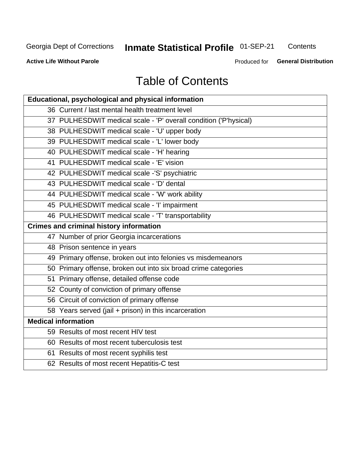# **Inmate Statistical Profile 01-SEP-21**

Contents

**Active Life Without Parole** 

Produced for General Distribution

# **Table of Contents**

| Educational, psychological and physical information              |
|------------------------------------------------------------------|
| 36 Current / last mental health treatment level                  |
| 37 PULHESDWIT medical scale - 'P' overall condition ('P'hysical) |
| 38 PULHESDWIT medical scale - 'U' upper body                     |
| 39 PULHESDWIT medical scale - 'L' lower body                     |
| 40 PULHESDWIT medical scale - 'H' hearing                        |
| 41 PULHESDWIT medical scale - 'E' vision                         |
| 42 PULHESDWIT medical scale -'S' psychiatric                     |
| 43 PULHESDWIT medical scale - 'D' dental                         |
| 44 PULHESDWIT medical scale - 'W' work ability                   |
| 45 PULHESDWIT medical scale - 'I' impairment                     |
| 46 PULHESDWIT medical scale - 'T' transportability               |
| <b>Crimes and criminal history information</b>                   |
| 47 Number of prior Georgia incarcerations                        |
| 48 Prison sentence in years                                      |
| 49 Primary offense, broken out into felonies vs misdemeanors     |
| 50 Primary offense, broken out into six broad crime categories   |
| 51 Primary offense, detailed offense code                        |
| 52 County of conviction of primary offense                       |
| 56 Circuit of conviction of primary offense                      |
| 58 Years served (jail + prison) in this incarceration            |
| <b>Medical information</b>                                       |
| 59 Results of most recent HIV test                               |
| 60 Results of most recent tuberculosis test                      |
| 61 Results of most recent syphilis test                          |
| 62 Results of most recent Hepatitis-C test                       |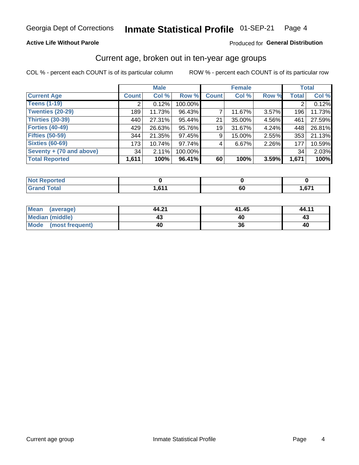### **Active Life Without Parole**

### Produced for General Distribution

# Current age, broken out in ten-year age groups

COL % - percent each COUNT is of its particular column

|                          |              | <b>Male</b> |         |              | <b>Female</b> |       |              | <b>Total</b> |
|--------------------------|--------------|-------------|---------|--------------|---------------|-------|--------------|--------------|
| <b>Current Age</b>       | <b>Count</b> | Col %       | Row %   | <b>Count</b> | Col %         | Row % | <b>Total</b> | Col %        |
| <b>Teens (1-19)</b>      | ◠            | 0.12%       | 100.00% |              |               |       | 2            | 0.12%        |
| <b>Twenties (20-29)</b>  | 189          | 11.73%      | 96.43%  |              | 11.67%        | 3.57% | 196          | 11.73%       |
| Thirties (30-39)         | 440          | 27.31%      | 95.44%  | 21           | 35.00%        | 4.56% | 461          | 27.59%       |
| <b>Forties (40-49)</b>   | 429          | 26.63%      | 95.76%  | 19           | 31.67%        | 4.24% | 448          | 26.81%       |
| <b>Fifties (50-59)</b>   | 344          | 21.35%      | 97.45%  | 9            | 15.00%        | 2.55% | 353          | 21.13%       |
| <b>Sixties (60-69)</b>   | 173          | 10.74%      | 97.74%  | 4            | 6.67%         | 2.26% | 177          | 10.59%       |
| Seventy + (70 and above) | 34           | 2.11%       | 100.00% |              |               |       | 34           | 2.03%        |
| <b>Total Reported</b>    | 1,611        | 100%        | 96.41%  | 60           | 100%          | 3.59% | 1,671        | 100%         |

| <b>innorted</b><br>m. |      |     |        |
|-----------------------|------|-----|--------|
| $F \circ F$           | 1011 | r r | $\sim$ |
| _____                 |      | νυ  | 1,07.  |

| Mean (average)         | 44.21 | 41.45 | 44.11 |
|------------------------|-------|-------|-------|
| <b>Median (middle)</b> |       |       | 43    |
| Mode (most frequent)   | 40    | 36    | 40    |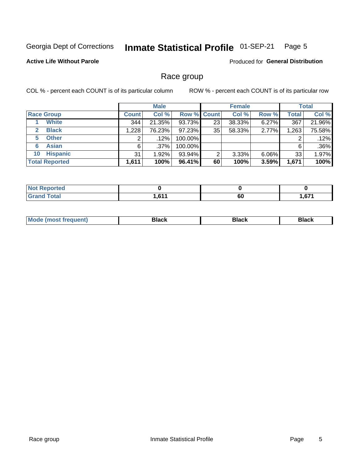#### Inmate Statistical Profile 01-SEP-21 Page 5

### **Active Life Without Parole**

Produced for General Distribution

# Race group

COL % - percent each COUNT is of its particular column

|                              | <b>Male</b>  |         |             | <b>Female</b> |        |          | <b>Total</b> |        |
|------------------------------|--------------|---------|-------------|---------------|--------|----------|--------------|--------|
| <b>Race Group</b>            | <b>Count</b> | Col %   | Row % Count |               | Col %  | Row %    | Total        | Col %  |
| <b>White</b>                 | 344          | 21.35%  | 93.73%      | 23            | 38.33% | 6.27%    | 367          | 21.96% |
| <b>Black</b><br>$\mathbf{2}$ | 1,228        | 76.23%  | $97.23\%$   | 35            | 58.33% | 2.77%    | 1,263        | 75.58% |
| <b>Other</b><br>5.           |              | $.12\%$ | 100.00%     |               |        |          | 2            | .12%   |
| <b>Asian</b><br>6            | 6            | $.37\%$ | 100.00%     |               |        |          | 6            | .36%   |
| <b>Hispanic</b><br>10        | 31           | 1.92%   | 93.94%      | 2             | 3.33%  | $6.06\%$ | 33           | 1.97%  |
| <b>Total Reported</b>        | 1,611        | 100%    | 96.41%      | 60            | 100%   | 3.59%    | 1,671        | 100%   |

| <b>Reported</b><br>NOT. |       |    |                 |
|-------------------------|-------|----|-----------------|
| <b>Total</b>            | 0.014 | 60 | C <sub>74</sub> |
| Grar                    | .ט    |    | w               |

| –•••• |  | M |  |  |  |
|-------|--|---|--|--|--|
|-------|--|---|--|--|--|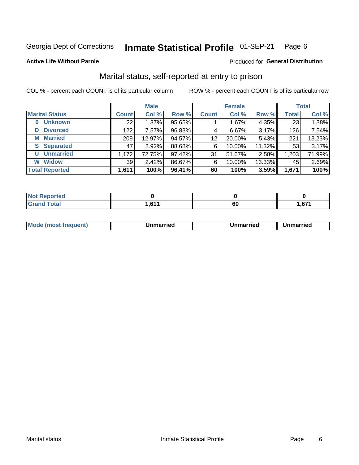#### Inmate Statistical Profile 01-SEP-21 Page 6

**Active Life Without Parole** 

Produced for General Distribution

# Marital status, self-reported at entry to prison

COL % - percent each COUNT is of its particular column

|                            |                 | <b>Male</b> |        |              | <b>Female</b> |        |              | <b>Total</b> |
|----------------------------|-----------------|-------------|--------|--------------|---------------|--------|--------------|--------------|
| <b>Marital Status</b>      | <b>Count</b>    | Col %       | Row %  | <b>Count</b> | Col %         | Row %  | <b>Total</b> | Col %        |
| <b>Unknown</b><br>$\bf{0}$ | 22 <sub>1</sub> | 1.37%       | 95.65% |              | 1.67%         | 4.35%  | 23           | 1.38%        |
| <b>Divorced</b><br>D       | 122             | 7.57%       | 96.83% | 4            | 6.67%         | 3.17%  | 126          | 7.54%        |
| <b>Married</b><br>М        | 209             | 12.97%      | 94.57% | 12           | 20.00%        | 5.43%  | 221          | 13.23%       |
| <b>Separated</b><br>S.     | 47              | 2.92%       | 88.68% | 6            | 10.00%        | 11.32% | 53           | 3.17%        |
| <b>Unmarried</b><br>U      | 1,172           | 72.75%      | 97.42% | 31           | 51.67%        | 2.58%  | 1,203        | 71.99%       |
| <b>Widow</b><br>W          | 39              | 2.42%       | 86.67% | 6            | 10.00%        | 13.33% | 45           | 2.69%        |
| <b>Total Reported</b>      | 1,611           | 100%        | 96.41% | 60           | 100%          | 3.59%  | 1,671        | 100%         |

| <b>Not Reported</b><br>$\cdots$ |                 |    |         |
|---------------------------------|-----------------|----|---------|
| <b>Total</b><br>$\sim$          | CA<br>I I V I I | 60 | $c - r$ |

| ___ | Mo | тес | Unmarried | าmarried |
|-----|----|-----|-----------|----------|
|-----|----|-----|-----------|----------|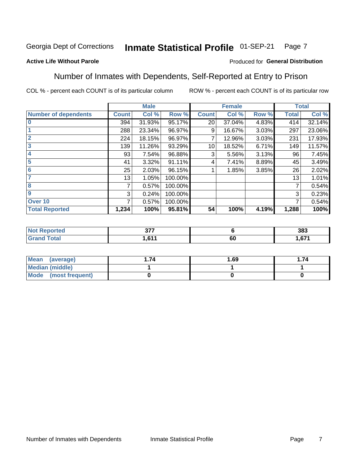#### Inmate Statistical Profile 01-SEP-21 Page 7

### **Active Life Without Parole**

### Produced for General Distribution

# Number of Inmates with Dependents, Self-Reported at Entry to Prison

COL % - percent each COUNT is of its particular column

|                             |              | <b>Male</b> |         |              | <b>Female</b> |       |              | <b>Total</b> |
|-----------------------------|--------------|-------------|---------|--------------|---------------|-------|--------------|--------------|
| <b>Number of dependents</b> | <b>Count</b> | Col %       | Row %   | <b>Count</b> | Col %         | Row % | <b>Total</b> | Col %        |
| $\bf{0}$                    | 394          | 31.93%      | 95.17%  | 20           | 37.04%        | 4.83% | 414          | 32.14%       |
|                             | 288          | 23.34%      | 96.97%  | 9            | 16.67%        | 3.03% | 297          | 23.06%       |
| $\overline{2}$              | 224          | 18.15%      | 96.97%  |              | 12.96%        | 3.03% | 231          | 17.93%       |
| 3                           | 139          | 11.26%      | 93.29%  | 10           | 18.52%        | 6.71% | 149          | 11.57%       |
| 4                           | 93           | 7.54%       | 96.88%  | 3            | 5.56%         | 3.13% | 96           | 7.45%        |
| 5                           | 41           | 3.32%       | 91.11%  | 4            | 7.41%         | 8.89% | 45           | 3.49%        |
| $6\phantom{1}6$             | 25           | 2.03%       | 96.15%  |              | 1.85%         | 3.85% | 26           | 2.02%        |
| 7                           | 13           | 1.05%       | 100.00% |              |               |       | 13           | 1.01%        |
| 8                           | 7            | 0.57%       | 100.00% |              |               |       | 7            | 0.54%        |
| 9                           | 3            | 0.24%       | 100.00% |              |               |       | 3            | 0.23%        |
| Over 10                     | 7            | 0.57%       | 100.00% |              |               |       | 7            | 0.54%        |
| <b>Total Reported</b>       | 1,234        | 100%        | 95.81%  | 54           | 100%          | 4.19% | 1,288        | 100%         |

| $\sim$<br>.<br>$\sim$ |    | 383         |
|-----------------------|----|-------------|
| C <sub>44</sub>       | υı | c74<br>ו ט. |

| <b>Mean</b><br>(average) | 1.69 | . 74 |
|--------------------------|------|------|
| Median (middle)          |      |      |
| Mode<br>(most frequent)  |      |      |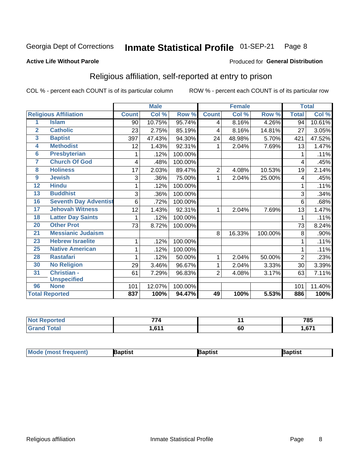#### Inmate Statistical Profile 01-SEP-21 Page 8

#### **Active Life Without Parole**

#### Produced for General Distribution

# Religious affiliation, self-reported at entry to prison

COL % - percent each COUNT is of its particular column

|                  |                              |              | <b>Male</b> |         |                | <b>Female</b> |         |                | <b>Total</b> |
|------------------|------------------------------|--------------|-------------|---------|----------------|---------------|---------|----------------|--------------|
|                  | <b>Religious Affiliation</b> | <b>Count</b> | Col %       | Row %   | <b>Count</b>   | Col %         | Row %   | <b>Total</b>   | Col %        |
| 1                | <b>Islam</b>                 | 90           | 10.75%      | 95.74%  | 4              | 8.16%         | 4.26%   | 94             | 10.61%       |
| $\overline{2}$   | <b>Catholic</b>              | 23           | 2.75%       | 85.19%  | 4              | 8.16%         | 14.81%  | 27             | 3.05%        |
| 3                | <b>Baptist</b>               | 397          | 47.43%      | 94.30%  | 24             | 48.98%        | 5.70%   | 421            | 47.52%       |
| 4                | <b>Methodist</b>             | 12           | 1.43%       | 92.31%  | 1              | 2.04%         | 7.69%   | 13             | 1.47%        |
| 6                | <b>Presbyterian</b>          | 1            | .12%        | 100.00% |                |               |         |                | .11%         |
| 7                | <b>Church Of God</b>         | 4            | .48%        | 100.00% |                |               |         | 4              | .45%         |
| 8                | <b>Holiness</b>              | 17           | 2.03%       | 89.47%  | $\overline{2}$ | 4.08%         | 10.53%  | 19             | 2.14%        |
| $\boldsymbol{9}$ | <b>Jewish</b>                | 3            | .36%        | 75.00%  | 1              | 2.04%         | 25.00%  | 4              | .45%         |
| $\overline{12}$  | <b>Hindu</b>                 | 1            | .12%        | 100.00% |                |               |         |                | .11%         |
| 13               | <b>Buddhist</b>              | 3            | .36%        | 100.00% |                |               |         | 3              | .34%         |
| 16               | <b>Seventh Day Adventist</b> | 6            | .72%        | 100.00% |                |               |         | 6              | .68%         |
| 17               | <b>Jehovah Witness</b>       | 12           | 1.43%       | 92.31%  | 1              | 2.04%         | 7.69%   | 13             | 1.47%        |
| 18               | <b>Latter Day Saints</b>     | 1            | .12%        | 100.00% |                |               |         |                | .11%         |
| $\overline{20}$  | <b>Other Prot</b>            | 73           | 8.72%       | 100.00% |                |               |         | 73             | 8.24%        |
| 21               | <b>Messianic Judaism</b>     |              |             |         | 8              | 16.33%        | 100.00% | 8              | .90%         |
| 23               | <b>Hebrew Israelite</b>      | 1            | .12%        | 100.00% |                |               |         |                | .11%         |
| 25               | <b>Native American</b>       | 1            | .12%        | 100.00% |                |               |         |                | .11%         |
| 28               | <b>Rastafari</b>             |              | .12%        | 50.00%  | 1              | 2.04%         | 50.00%  | $\overline{2}$ | .23%         |
| 30               | <b>No Religion</b>           | 29           | 3.46%       | 96.67%  | 1              | 2.04%         | 3.33%   | 30             | 3.39%        |
| 31               | <b>Christian -</b>           | 61           | 7.29%       | 96.83%  | 2              | 4.08%         | 3.17%   | 63             | 7.11%        |
|                  | <b>Unspecified</b>           |              |             |         |                |               |         |                |              |
| 96               | <b>None</b>                  | 101          | 12.07%      | 100.00% |                |               |         | 101            | 11.40%       |
|                  | <b>Total Reported</b>        | 837          | 100%        | 94.47%  | 49             | 100%          | 5.53%   | 886            | 100%         |

| <b>Not Reported</b> | --<br>. . |           | 785         |
|---------------------|-----------|-----------|-------------|
| <b>Total</b>        | 0.44<br>  | <b>60</b> | c74<br>1.OZ |

| <b>Mode (most frequent)</b><br>}aptist<br>Baptist<br>Baptist |
|--------------------------------------------------------------|
|--------------------------------------------------------------|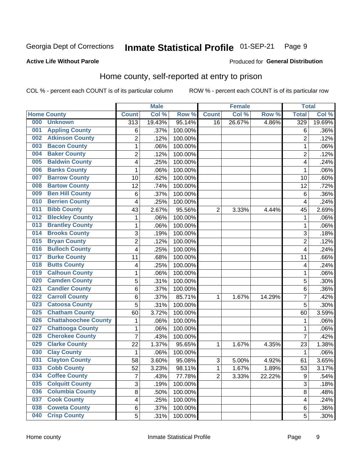#### Inmate Statistical Profile 01-SEP-21 Page 9

### **Active Life Without Parole**

# Produced for General Distribution

# Home county, self-reported at entry to prison

COL % - percent each COUNT is of its particular column

|     |                             |                  | <b>Male</b> |         |                | <b>Female</b> |        | <b>Total</b>   |        |
|-----|-----------------------------|------------------|-------------|---------|----------------|---------------|--------|----------------|--------|
|     | <b>Home County</b>          | <b>Count</b>     | Col %       | Row %   | <b>Count</b>   | Col %         | Row %  | <b>Total</b>   | Col %  |
| 000 | <b>Unknown</b>              | $\overline{313}$ | 19.43%      | 95.14%  | 16             | 26.67%        | 4.86%  | 329            | 19.69% |
| 001 | <b>Appling County</b>       | 6                | .37%        | 100.00% |                |               |        | 6              | .36%   |
| 002 | <b>Atkinson County</b>      | 2                | .12%        | 100.00% |                |               |        | $\overline{2}$ | .12%   |
| 003 | <b>Bacon County</b>         | 1                | .06%        | 100.00% |                |               |        | 1              | .06%   |
| 004 | <b>Baker County</b>         | $\overline{2}$   | .12%        | 100.00% |                |               |        | $\overline{2}$ | .12%   |
| 005 | <b>Baldwin County</b>       | 4                | .25%        | 100.00% |                |               |        | 4              | .24%   |
| 006 | <b>Banks County</b>         | $\mathbf 1$      | .06%        | 100.00% |                |               |        | 1              | .06%   |
| 007 | <b>Barrow County</b>        | 10               | .62%        | 100.00% |                |               |        | 10             | .60%   |
| 008 | <b>Bartow County</b>        | 12               | .74%        | 100.00% |                |               |        | 12             | .72%   |
| 009 | <b>Ben Hill County</b>      | 6                | .37%        | 100.00% |                |               |        | 6              | .36%   |
| 010 | <b>Berrien County</b>       | 4                | .25%        | 100.00% |                |               |        | 4              | .24%   |
| 011 | <b>Bibb County</b>          | 43               | 2.67%       | 95.56%  | $\overline{2}$ | 3.33%         | 4.44%  | 45             | 2.69%  |
| 012 | <b>Bleckley County</b>      | 1                | .06%        | 100.00% |                |               |        | $\mathbf{1}$   | .06%   |
| 013 | <b>Brantley County</b>      | $\mathbf{1}$     | .06%        | 100.00% |                |               |        | 1              | .06%   |
| 014 | <b>Brooks County</b>        | 3                | .19%        | 100.00% |                |               |        | 3              | .18%   |
| 015 | <b>Bryan County</b>         | $\overline{2}$   | .12%        | 100.00% |                |               |        | $\overline{2}$ | .12%   |
| 016 | <b>Bulloch County</b>       | 4                | .25%        | 100.00% |                |               |        | 4              | .24%   |
| 017 | <b>Burke County</b>         | 11               | .68%        | 100.00% |                |               |        | 11             | .66%   |
| 018 | <b>Butts County</b>         | 4                | .25%        | 100.00% |                |               |        | 4              | .24%   |
| 019 | <b>Calhoun County</b>       | 1                | .06%        | 100.00% |                |               |        | 1              | .06%   |
| 020 | <b>Camden County</b>        | 5                | .31%        | 100.00% |                |               |        | 5              | .30%   |
| 021 | <b>Candler County</b>       | $\,6$            | .37%        | 100.00% |                |               |        | 6              | .36%   |
| 022 | <b>Carroll County</b>       | $\,6$            | .37%        | 85.71%  | $\mathbf{1}$   | 1.67%         | 14.29% | $\overline{7}$ | .42%   |
| 023 | <b>Catoosa County</b>       | 5                | .31%        | 100.00% |                |               |        | 5              | .30%   |
| 025 | <b>Chatham County</b>       | 60               | 3.72%       | 100.00% |                |               |        | 60             | 3.59%  |
| 026 | <b>Chattahoochee County</b> | 1                | .06%        | 100.00% |                |               |        | 1              | .06%   |
| 027 | <b>Chattooga County</b>     | 1                | .06%        | 100.00% |                |               |        | 1              | .06%   |
| 028 | <b>Cherokee County</b>      | $\overline{7}$   | .43%        | 100.00% |                |               |        | $\overline{7}$ | .42%   |
| 029 | <b>Clarke County</b>        | 22               | 1.37%       | 95.65%  | $\mathbf{1}$   | 1.67%         | 4.35%  | 23             | 1.38%  |
| 030 | <b>Clay County</b>          | $\mathbf{1}$     | .06%        | 100.00% |                |               |        | 1              | .06%   |
| 031 | <b>Clayton County</b>       | 58               | 3.60%       | 95.08%  | 3              | 5.00%         | 4.92%  | 61             | 3.65%  |
| 033 | <b>Cobb County</b>          | 52               | 3.23%       | 98.11%  | 1              | 1.67%         | 1.89%  | 53             | 3.17%  |
| 034 | <b>Coffee County</b>        | 7                | .43%        | 77.78%  | $\overline{2}$ | 3.33%         | 22.22% | 9              | .54%   |
| 035 | <b>Colquitt County</b>      | 3                | .19%        | 100.00% |                |               |        | 3              | .18%   |
| 036 | <b>Columbia County</b>      | $\overline{8}$   | .50%        | 100.00% |                |               |        | 8              | .48%   |
| 037 | <b>Cook County</b>          | 4                | .25%        | 100.00% |                |               |        | 4              | .24%   |
| 038 | <b>Coweta County</b>        | 6                | .37%        | 100.00% |                |               |        | 6              | .36%   |
| 040 | <b>Crisp County</b>         | 5                | .31%        | 100.00% |                |               |        | 5              | .30%   |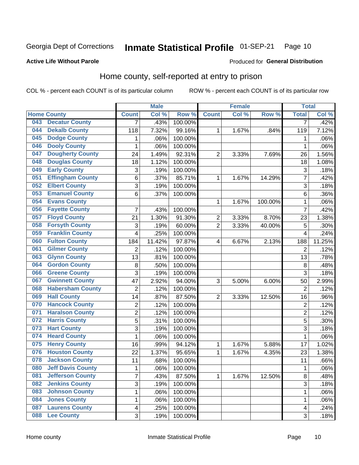#### Inmate Statistical Profile 01-SEP-21 Page 10

**Active Life Without Parole** 

### Produced for General Distribution

# Home county, self-reported at entry to prison

COL % - percent each COUNT is of its particular column

|     |                          |                | <b>Male</b> |                  |                  | <b>Female</b> |         | <b>Total</b>   |        |
|-----|--------------------------|----------------|-------------|------------------|------------------|---------------|---------|----------------|--------|
|     | <b>Home County</b>       | <b>Count</b>   | Col %       | Row <sup>%</sup> | <b>Count</b>     | Col %         | Row %   | <b>Total</b>   | Col %  |
| 043 | <b>Decatur County</b>    | 7              | .43%        | 100.00%          |                  |               |         | 7              | .42%   |
| 044 | <b>Dekalb County</b>     | 118            | 7.32%       | 99.16%           | 1                | 1.67%         | .84%    | 119            | 7.12%  |
| 045 | <b>Dodge County</b>      | 1              | .06%        | 100.00%          |                  |               |         | 1              | .06%   |
| 046 | <b>Dooly County</b>      | 1              | .06%        | 100.00%          |                  |               |         | 1              | .06%   |
| 047 | <b>Dougherty County</b>  | 24             | 1.49%       | 92.31%           | $\overline{2}$   | 3.33%         | 7.69%   | 26             | 1.56%  |
| 048 | <b>Douglas County</b>    | 18             | 1.12%       | 100.00%          |                  |               |         | 18             | 1.08%  |
| 049 | <b>Early County</b>      | 3              | .19%        | 100.00%          |                  |               |         | 3              | .18%   |
| 051 | <b>Effingham County</b>  | 6              | .37%        | 85.71%           | 1                | 1.67%         | 14.29%  | 7              | .42%   |
| 052 | <b>Elbert County</b>     | 3              | .19%        | 100.00%          |                  |               |         | 3              | .18%   |
| 053 | <b>Emanuel County</b>    | 6              | .37%        | 100.00%          |                  |               |         | 6              | .36%   |
| 054 | <b>Evans County</b>      |                |             |                  | 1                | 1.67%         | 100.00% | 1              | .06%   |
| 056 | <b>Fayette County</b>    | 7              | .43%        | 100.00%          |                  |               |         | $\overline{7}$ | .42%   |
| 057 | <b>Floyd County</b>      | 21             | 1.30%       | 91.30%           | $\boldsymbol{2}$ | 3.33%         | 8.70%   | 23             | 1.38%  |
| 058 | <b>Forsyth County</b>    | 3              | .19%        | 60.00%           | 2                | 3.33%         | 40.00%  | 5              | .30%   |
| 059 | <b>Franklin County</b>   | 4              | .25%        | 100.00%          |                  |               |         | $\overline{4}$ | .24%   |
| 060 | <b>Fulton County</b>     | 184            | 11.42%      | 97.87%           | 4                | 6.67%         | 2.13%   | 188            | 11.25% |
| 061 | <b>Gilmer County</b>     | $\overline{2}$ | .12%        | 100.00%          |                  |               |         | $\overline{2}$ | .12%   |
| 063 | <b>Glynn County</b>      | 13             | .81%        | 100.00%          |                  |               |         | 13             | .78%   |
| 064 | <b>Gordon County</b>     | 8              | .50%        | 100.00%          |                  |               |         | 8              | .48%   |
| 066 | <b>Greene County</b>     | 3              | .19%        | 100.00%          |                  |               |         | 3              | .18%   |
| 067 | <b>Gwinnett County</b>   | 47             | 2.92%       | 94.00%           | 3                | 5.00%         | 6.00%   | 50             | 2.99%  |
| 068 | <b>Habersham County</b>  | $\overline{2}$ | .12%        | 100.00%          |                  |               |         | $\overline{2}$ | .12%   |
| 069 | <b>Hall County</b>       | 14             | .87%        | 87.50%           | $\overline{2}$   | 3.33%         | 12.50%  | 16             | .96%   |
| 070 | <b>Hancock County</b>    | 2              | .12%        | 100.00%          |                  |               |         | $\overline{2}$ | .12%   |
| 071 | <b>Haralson County</b>   | $\overline{c}$ | .12%        | 100.00%          |                  |               |         | $\overline{2}$ | .12%   |
| 072 | <b>Harris County</b>     | 5              | .31%        | 100.00%          |                  |               |         | 5              | .30%   |
| 073 | <b>Hart County</b>       | 3              | .19%        | 100.00%          |                  |               |         | 3              | .18%   |
| 074 | <b>Heard County</b>      | 1              | .06%        | 100.00%          |                  |               |         | 1              | .06%   |
| 075 | <b>Henry County</b>      | 16             | .99%        | 94.12%           | 1                | 1.67%         | 5.88%   | 17             | 1.02%  |
| 076 | <b>Houston County</b>    | 22             | 1.37%       | 95.65%           | 1                | 1.67%         | 4.35%   | 23             | 1.38%  |
| 078 | <b>Jackson County</b>    | 11             | .68%        | 100.00%          |                  |               |         | 11             | .66%   |
| 080 | <b>Jeff Davis County</b> | $\mathbf 1$    | .06%        | 100.00%          |                  |               |         | 1              | .06%   |
| 081 | <b>Jefferson County</b>  | $\overline{7}$ | .43%        | 87.50%           | 1                | 1.67%         | 12.50%  | 8              | .48%   |
| 082 | <b>Jenkins County</b>    | 3              | .19%        | 100.00%          |                  |               |         | 3              | .18%   |
| 083 | <b>Johnson County</b>    | $\mathbf 1$    | .06%        | 100.00%          |                  |               |         | 1              | .06%   |
| 084 | <b>Jones County</b>      | 1              | .06%        | 100.00%          |                  |               |         | 1              | .06%   |
| 087 | <b>Laurens County</b>    | 4              | .25%        | 100.00%          |                  |               |         | 4              | .24%   |
| 088 | <b>Lee County</b>        | 3              | .19%        | 100.00%          |                  |               |         | 3              | .18%   |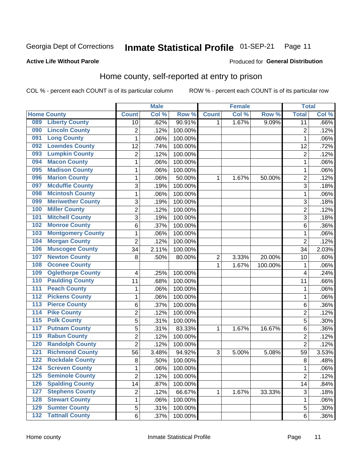#### Inmate Statistical Profile 01-SEP-21 Page 11

### **Active Life Without Parole**

# Produced for General Distribution

# Home county, self-reported at entry to prison

COL % - percent each COUNT is of its particular column

|                  |                          |                         | <b>Male</b> |         |              | <b>Female</b> |         | <b>Total</b>   |         |
|------------------|--------------------------|-------------------------|-------------|---------|--------------|---------------|---------|----------------|---------|
|                  | <b>Home County</b>       | <b>Count</b>            | Col %       | Row %   | <b>Count</b> | Col %         | Row %   | <b>Total</b>   | Col %   |
| 089              | <b>Liberty County</b>    | 10                      | .62%        | 90.91%  | 1            | 1.67%         | 9.09%   | 11             | .66%    |
| 090              | <b>Lincoln County</b>    | $\overline{2}$          | .12%        | 100.00% |              |               |         | $\overline{2}$ | .12%    |
| 091              | <b>Long County</b>       | $\mathbf 1$             | .06%        | 100.00% |              |               |         | 1              | .06%    |
| 092              | <b>Lowndes County</b>    | 12                      | .74%        | 100.00% |              |               |         | 12             | .72%    |
| 093              | <b>Lumpkin County</b>    | $\overline{c}$          | .12%        | 100.00% |              |               |         | $\overline{2}$ | .12%    |
| 094              | <b>Macon County</b>      | $\mathbf 1$             | .06%        | 100.00% |              |               |         | 1              | .06%    |
| 095              | <b>Madison County</b>    | $\mathbf 1$             | .06%        | 100.00% |              |               |         | 1              | .06%    |
| 096              | <b>Marion County</b>     | $\mathbf{1}$            | .06%        | 50.00%  | 1            | 1.67%         | 50.00%  | $\overline{2}$ | .12%    |
| 097              | <b>Mcduffie County</b>   | 3                       | .19%        | 100.00% |              |               |         | 3              | .18%    |
| 098              | <b>Mcintosh County</b>   | $\mathbf 1$             | .06%        | 100.00% |              |               |         | 1              | .06%    |
| 099              | <b>Meriwether County</b> | 3                       | .19%        | 100.00% |              |               |         | 3              | .18%    |
| 100              | <b>Miller County</b>     | $\overline{c}$          | .12%        | 100.00% |              |               |         | $\overline{2}$ | .12%    |
| 101              | <b>Mitchell County</b>   | 3                       | .19%        | 100.00% |              |               |         | 3              | .18%    |
| 102              | <b>Monroe County</b>     | 6                       | .37%        | 100.00% |              |               |         | 6              | .36%    |
| 103              | <b>Montgomery County</b> | $\mathbf 1$             | .06%        | 100.00% |              |               |         | 1              | .06%    |
| 104              | <b>Morgan County</b>     | $\overline{2}$          | .12%        | 100.00% |              |               |         | $\overline{2}$ | .12%    |
| 106              | <b>Muscogee County</b>   | 34                      | 2.11%       | 100.00% |              |               |         | 34             | 2.03%   |
| 107              | <b>Newton County</b>     | 8                       | .50%        | 80.00%  | 2            | 3.33%         | 20.00%  | 10             | .60%    |
| 108              | <b>Oconee County</b>     |                         |             |         | 1            | 1.67%         | 100.00% | 1              | .06%    |
| 109              | <b>Oglethorpe County</b> | 4                       | .25%        | 100.00% |              |               |         | $\overline{4}$ | .24%    |
| 110              | <b>Paulding County</b>   | 11                      | .68%        | 100.00% |              |               |         | 11             | .66%    |
| $\overline{111}$ | <b>Peach County</b>      | $\mathbf 1$             | .06%        | 100.00% |              |               |         | 1              | .06%    |
| $\overline{112}$ | <b>Pickens County</b>    | $\mathbf 1$             | .06%        | 100.00% |              |               |         | 1              | .06%    |
| 113              | <b>Pierce County</b>     | 6                       | .37%        | 100.00% |              |               |         | 6              | .36%    |
| 114              | <b>Pike County</b>       | $\overline{2}$          | .12%        | 100.00% |              |               |         | $\overline{2}$ | .12%    |
| $\overline{115}$ | <b>Polk County</b>       | 5                       | .31%        | 100.00% |              |               |         | 5              | .30%    |
| 117              | <b>Putnam County</b>     | $\overline{5}$          | .31%        | 83.33%  | 1            | 1.67%         | 16.67%  | 6              | .36%    |
| 119              | <b>Rabun County</b>      | $\overline{c}$          | .12%        | 100.00% |              |               |         | $\overline{2}$ | .12%    |
| 120              | <b>Randolph County</b>   | $\overline{2}$          | .12%        | 100.00% |              |               |         | $\overline{2}$ | .12%    |
| 121              | <b>Richmond County</b>   | 56                      | 3.48%       | 94.92%  | 3            | 5.00%         | 5.08%   | 59             | 3.53%   |
| 122              | <b>Rockdale County</b>   | 8                       | .50%        | 100.00% |              |               |         | 8              | .48%    |
| 124              | <b>Screven County</b>    | 1                       | .06%        | 100.00% |              |               |         | 1              | $.06\%$ |
| 125              | <b>Seminole County</b>   | $\overline{2}$          | .12%        | 100.00% |              |               |         | $\overline{2}$ | .12%    |
| 126              | <b>Spalding County</b>   | 14                      | .87%        | 100.00% |              |               |         | 14             | .84%    |
| 127              | <b>Stephens County</b>   | $\overline{\mathbf{c}}$ | .12%        | 66.67%  | 1            | 1.67%         | 33.33%  | $\sqrt{3}$     | .18%    |
| 128              | <b>Stewart County</b>    | $\mathbf{1}$            | .06%        | 100.00% |              |               |         | 1              | .06%    |
| 129              | <b>Sumter County</b>     | 5                       | .31%        | 100.00% |              |               |         | 5              | .30%    |
| $\overline{132}$ | <b>Tattnall County</b>   | 6                       | .37%        | 100.00% |              |               |         | $\,6$          | .36%    |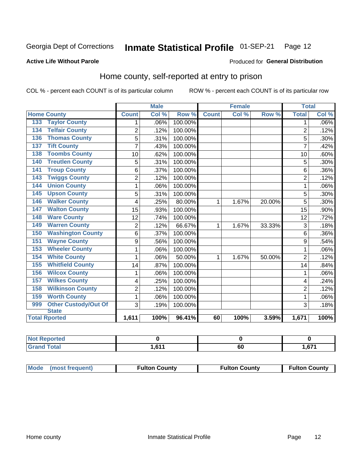#### Inmate Statistical Profile 01-SEP-21 Page 12

#### **Active Life Without Parole**

#### Produced for General Distribution

# Home county, self-reported at entry to prison

COL % - percent each COUNT is of its particular column

|                                    |                | <b>Male</b> |         |              | <b>Female</b> |        | <b>Total</b>   |         |
|------------------------------------|----------------|-------------|---------|--------------|---------------|--------|----------------|---------|
| <b>Home County</b>                 | <b>Count</b>   | Col %       | Row %   | <b>Count</b> | Col %         | Row %  | <b>Total</b>   | Col %   |
| <b>Taylor County</b><br>133        | 1              | .06%        | 100.00% |              |               |        | 1              | $.06\%$ |
| <b>Telfair County</b><br>134       | $\overline{2}$ | .12%        | 100.00% |              |               |        | $\overline{2}$ | .12%    |
| <b>Thomas County</b><br>136        | 5              | .31%        | 100.00% |              |               |        | 5              | .30%    |
| <b>Tift County</b><br>137          | $\overline{7}$ | .43%        | 100.00% |              |               |        | 7              | .42%    |
| <b>Toombs County</b><br>138        | 10             | .62%        | 100.00% |              |               |        | 10             | .60%    |
| <b>Treutlen County</b><br>140      | 5              | .31%        | 100.00% |              |               |        | 5              | .30%    |
| <b>Troup County</b><br>141         | 6              | .37%        | 100.00% |              |               |        | 6              | .36%    |
| <b>Twiggs County</b><br>143        | 2              | .12%        | 100.00% |              |               |        | $\overline{2}$ | .12%    |
| <b>Union County</b><br>144         | 1              | .06%        | 100.00% |              |               |        | 1              | .06%    |
| <b>Upson County</b><br>145         | 5              | .31%        | 100.00% |              |               |        | 5              | .30%    |
| <b>Walker County</b><br>146        | 4              | .25%        | 80.00%  | 1            | 1.67%         | 20.00% | 5              | .30%    |
| <b>Walton County</b><br>147        | 15             | .93%        | 100.00% |              |               |        | 15             | .90%    |
| <b>Ware County</b><br>148          | 12             | .74%        | 100.00% |              |               |        | 12             | .72%    |
| <b>Warren County</b><br>149        | 2              | .12%        | 66.67%  | 1            | 1.67%         | 33.33% | $\overline{3}$ | .18%    |
| <b>Washington County</b><br>150    | 6              | .37%        | 100.00% |              |               |        | 6              | .36%    |
| <b>Wayne County</b><br>151         | 9              | .56%        | 100.00% |              |               |        | 9              | .54%    |
| <b>Wheeler County</b><br>153       | 1              | .06%        | 100.00% |              |               |        | 1              | .06%    |
| <b>White County</b><br>154         | 1              | .06%        | 50.00%  | 1            | 1.67%         | 50.00% | $\overline{2}$ | .12%    |
| <b>Whitfield County</b><br>155     | 14             | .87%        | 100.00% |              |               |        | 14             | .84%    |
| <b>Wilcox County</b><br>156        | 1              | .06%        | 100.00% |              |               |        | 1              | .06%    |
| <b>Wilkes County</b><br>157        | 4              | .25%        | 100.00% |              |               |        | 4              | .24%    |
| <b>Wilkinson County</b><br>158     | $\overline{2}$ | .12%        | 100.00% |              |               |        | $\overline{2}$ | .12%    |
| <b>Worth County</b><br>159         | $\mathbf{1}$   | .06%        | 100.00% |              |               |        | 1              | .06%    |
| <b>Other Custody/Out Of</b><br>999 | 3              | .19%        | 100.00% |              |               |        | 3              | .18%    |
| <b>State</b>                       |                |             |         |              |               |        |                |         |
| <b>Total Rported</b>               | 1,611          | 100%        | 96.41%  | 60           | 100%          | 3.59%  | 1,671          | 100%    |

| ortea<br>N<br>and the same of the same of the |       |           |      |
|-----------------------------------------------|-------|-----------|------|
| <b>otal</b>                                   | 0.017 | . .<br>υυ | .671 |

| Mode (most frequent) | <b>Fulton County</b> | <b>Fulton County</b> | <b>Fulton County</b> |
|----------------------|----------------------|----------------------|----------------------|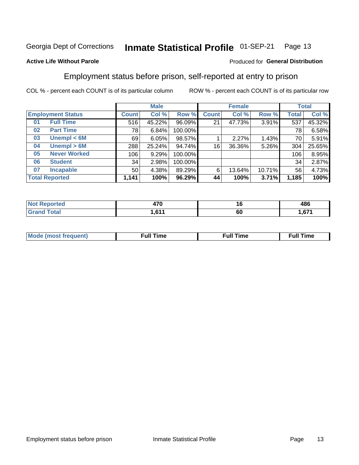#### Inmate Statistical Profile 01-SEP-21 Page 13

### **Active Life Without Parole**

### Produced for General Distribution

# Employment status before prison, self-reported at entry to prison

COL % - percent each COUNT is of its particular column

|                           |              | <b>Male</b> |         |              | <b>Female</b> |        |       | <b>Total</b> |
|---------------------------|--------------|-------------|---------|--------------|---------------|--------|-------|--------------|
| <b>Employment Status</b>  | <b>Count</b> | Col %       | Row %   | <b>Count</b> | Col %         | Row %  | Total | Col %        |
| <b>Full Time</b><br>01    | 516          | 45.22%      | 96.09%  | 21           | 47.73%        | 3.91%  | 537   | 45.32%       |
| <b>Part Time</b><br>02    | 78           | 6.84%       | 100.00% |              |               |        | 78    | 6.58%        |
| Unempl $<$ 6M<br>03       | 69           | 6.05%       | 98.57%  |              | 2.27%         | 1.43%  | 70    | 5.91%        |
| Unempl > 6M<br>04         | 288          | 25.24%      | 94.74%  | 16           | 36.36%        | 5.26%  | 304   | 25.65%       |
| <b>Never Worked</b><br>05 | 106          | 9.29%       | 100.00% |              |               |        | 106   | 8.95%        |
| <b>Student</b><br>06      | 34           | 2.98%       | 100.00% |              |               |        | 34    | 2.87%        |
| <b>Incapable</b><br>07    | 50           | 4.38%       | 89.29%  | 6            | 13.64%        | 10.71% | 56    | 4.73%        |
| <b>Total Reported</b>     | 1,141        | 100%        | 96.29%  | 44           | 100%          | 3.71%  | 1,185 | 100%         |

| יי<br>47 U<br>$\sim$ | 10<br>__ | 10C<br>400        |
|----------------------|----------|-------------------|
| C <sub>44</sub>      | 60       | $\sim$<br>. . v . |

| Mc | ∙u∥<br>----<br>ıme | ίuΙ<br>Πmε |
|----|--------------------|------------|
|    |                    |            |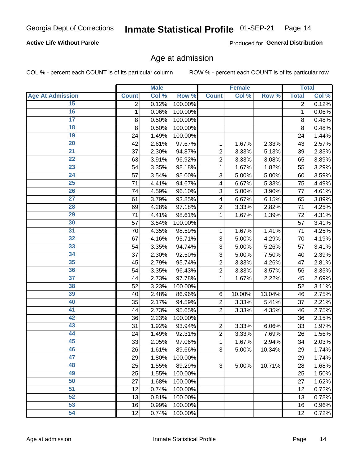### **Active Life Without Parole**

Produced for General Distribution

# Age at admission

COL % - percent each COUNT is of its particular column

|                         | <b>Male</b>  |       | <b>Female</b> |                |        | <b>Total</b> |              |       |
|-------------------------|--------------|-------|---------------|----------------|--------|--------------|--------------|-------|
| <b>Age At Admission</b> | <b>Count</b> | Col % | Row %         | <b>Count</b>   | Col %  | Row %        | <b>Total</b> | Col % |
| 15                      | 2            | 0.12% | 100.00%       |                |        |              | 2            | 0.12% |
| 16                      | 1            | 0.06% | 100.00%       |                |        |              | 1            | 0.06% |
| $\overline{17}$         | 8            | 0.50% | 100.00%       |                |        |              | 8            | 0.48% |
| 18                      | 8            | 0.50% | 100.00%       |                |        |              | 8            | 0.48% |
| 19                      | 24           | 1.49% | 100.00%       |                |        |              | 24           | 1.44% |
| $\overline{20}$         | 42           | 2.61% | 97.67%        | 1              | 1.67%  | 2.33%        | 43           | 2.57% |
| $\overline{21}$         | 37           | 2.30% | 94.87%        | $\overline{2}$ | 3.33%  | 5.13%        | 39           | 2.33% |
| 22                      | 63           | 3.91% | 96.92%        | $\overline{2}$ | 3.33%  | 3.08%        | 65           | 3.89% |
| 23                      | 54           | 3.35% | 98.18%        | 1              | 1.67%  | 1.82%        | 55           | 3.29% |
| 24                      | 57           | 3.54% | 95.00%        | 3              | 5.00%  | 5.00%        | 60           | 3.59% |
| $\overline{25}$         | 71           | 4.41% | 94.67%        | 4              | 6.67%  | 5.33%        | 75           | 4.49% |
| 26                      | 74           | 4.59% | 96.10%        | 3              | 5.00%  | 3.90%        | 77           | 4.61% |
| $\overline{27}$         | 61           | 3.79% | 93.85%        | 4              | 6.67%  | 6.15%        | 65           | 3.89% |
| 28                      | 69           | 4.28% | $97.18\%$     | $\overline{2}$ | 3.33%  | 2.82%        | 71           | 4.25% |
| 29                      | 71           | 4.41% | 98.61%        | 1              | 1.67%  | 1.39%        | 72           | 4.31% |
| 30                      | 57           | 3.54% | 100.00%       |                |        |              | 57           | 3.41% |
| 31                      | 70           | 4.35% | 98.59%        | 1              | 1.67%  | 1.41%        | 71           | 4.25% |
| 32                      | 67           | 4.16% | 95.71%        | 3              | 5.00%  | 4.29%        | 70           | 4.19% |
| 33                      | 54           | 3.35% | 94.74%        | 3              | 5.00%  | 5.26%        | 57           | 3.41% |
| 34                      | 37           | 2.30% | 92.50%        | 3              | 5.00%  | 7.50%        | 40           | 2.39% |
| 35                      | 45           | 2.79% | 95.74%        | $\overline{2}$ | 3.33%  | 4.26%        | 47           | 2.81% |
| 36                      | 54           | 3.35% | 96.43%        | $\overline{2}$ | 3.33%  | 3.57%        | 56           | 3.35% |
| $\overline{37}$         | 44           | 2.73% | 97.78%        | 1              | 1.67%  | 2.22%        | 45           | 2.69% |
| 38                      | 52           | 3.23% | 100.00%       |                |        |              | 52           | 3.11% |
| 39                      | 40           | 2.48% | 86.96%        | 6              | 10.00% | 13.04%       | 46           | 2.75% |
| 40                      | 35           | 2.17% | 94.59%        | $\overline{2}$ | 3.33%  | 5.41%        | 37           | 2.21% |
| 41                      | 44           | 2.73% | 95.65%        | $\overline{2}$ | 3.33%  | 4.35%        | 46           | 2.75% |
| 42                      | 36           | 2.23% | 100.00%       |                |        |              | 36           | 2.15% |
| 43                      | 31           | 1.92% | 93.94%        | $\overline{2}$ | 3.33%  | 6.06%        | 33           | 1.97% |
| 44                      | 24           | 1.49% | 92.31%        | $\overline{2}$ | 3.33%  | 7.69%        | 26           | 1.56% |
| 45                      | 33           | 2.05% | 97.06%        | 1              | 1.67%  | 2.94%        | 34           | 2.03% |
| 46                      | 26           | 1.61% | 89.66%        | 3              | 5.00%  | 10.34%       | 29           | 1.74% |
| 47                      | 29           | 1.80% | 100.00%       |                |        |              | 29           | 1.74% |
| 48                      | 25           | 1.55% | 89.29%        | 3              | 5.00%  | 10.71%       | 28           | 1.68% |
| 49                      | 25           | 1.55% | 100.00%       |                |        |              | 25           | 1.50% |
| 50                      | 27           | 1.68% | 100.00%       |                |        |              | 27           | 1.62% |
| $\overline{51}$         | 12           | 0.74% | 100.00%       |                |        |              | 12           | 0.72% |
| 52                      | 13           | 0.81% | 100.00%       |                |        |              | 13           | 0.78% |
| 53                      | 16           | 0.99% | 100.00%       |                |        |              | 16           | 0.96% |
| 54                      | 12           | 0.74% | 100.00%       |                |        |              | 12           | 0.72% |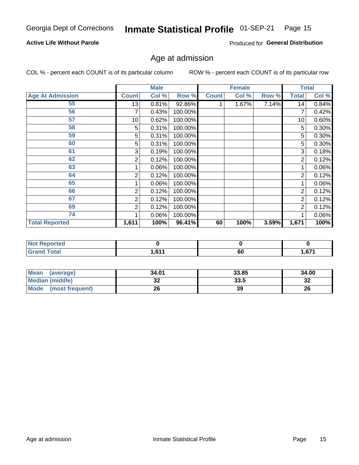#### Inmate Statistical Profile 01-SEP-21 Page 15

### **Active Life Without Parole**

Produced for General Distribution

# Age at admission

COL % - percent each COUNT is of its particular column

|                         |              | <b>Male</b> |         |              | <b>Female</b> |       |       | <b>Total</b> |
|-------------------------|--------------|-------------|---------|--------------|---------------|-------|-------|--------------|
| <b>Age At Admission</b> | <b>Count</b> | Col %       | Row %   | <b>Count</b> | Col %         | Row % | Total | Col %        |
| 55                      | 13           | 0.81%       | 92.86%  |              | 1.67%         | 7.14% | 14    | 0.84%        |
| 56                      |              | 0.43%       | 100.00% |              |               |       |       | 0.42%        |
| 57                      | 10           | 0.62%       | 100.00% |              |               |       | 10    | 0.60%        |
| 58                      | 5            | 0.31%       | 100.00% |              |               |       | 5     | 0.30%        |
| 59                      | 5            | 0.31%       | 100.00% |              |               |       | 5     | 0.30%        |
| 60                      | 5            | 0.31%       | 100.00% |              |               |       | 5     | 0.30%        |
| 61                      | 3            | 0.19%       | 100.00% |              |               |       | 3     | 0.18%        |
| 62                      | 2            | 0.12%       | 100.00% |              |               |       | 2     | 0.12%        |
| 63                      |              | 0.06%       | 100.00% |              |               |       |       | 0.06%        |
| 64                      | 2            | 0.12%       | 100.00% |              |               |       | 2     | 0.12%        |
| 65                      |              | 0.06%       | 100.00% |              |               |       |       | 0.06%        |
| 66                      | 2            | 0.12%       | 100.00% |              |               |       | 2     | 0.12%        |
| 67                      | 2            | 0.12%       | 100.00% |              |               |       | 2     | 0.12%        |
| 69                      | 2            | 0.12%       | 100.00% |              |               |       | 2     | 0.12%        |
| 74                      |              | 0.06%       | 100.00% |              |               |       |       | 0.06%        |
| <b>Total Reported</b>   | 1,611        | 100%        | 96.41%  | 60           | 100%          | 3.59% | 1,671 | 100%         |

| eported<br>N |     |    |           |
|--------------|-----|----|-----------|
| .'otal       | c44 | 60 | c74<br>.o |

| Mean<br>(average)       | 34.01   | 33.85 | 34.00   |
|-------------------------|---------|-------|---------|
| <b>Median (middle)</b>  | ົ<br>JZ | 33.5  | ົ<br>∠ت |
| Mode<br>(most frequent) | 26      | 39    | 26      |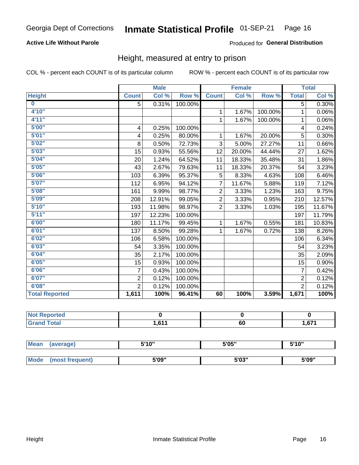### **Active Life Without Parole**

### Produced for General Distribution

# Height, measured at entry to prison

COL % - percent each COUNT is of its particular column

|                       |                | <b>Male</b> |         |                | <b>Female</b> |         |                | <b>Total</b> |
|-----------------------|----------------|-------------|---------|----------------|---------------|---------|----------------|--------------|
| <b>Height</b>         | <b>Count</b>   | Col %       | Row %   | <b>Count</b>   | Col %         | Row %   | <b>Total</b>   | Col %        |
| $\bf{0}$              | 5              | 0.31%       | 100.00% |                |               |         | 5              | 0.30%        |
| 4'10"                 |                |             |         | 1              | 1.67%         | 100.00% | 1              | 0.06%        |
| 4'11"                 |                |             |         | $\mathbf{1}$   | 1.67%         | 100.00% | 1              | 0.06%        |
| 5'00''                | 4              | 0.25%       | 100.00% |                |               |         | 4              | 0.24%        |
| 5'01"                 | 4              | 0.25%       | 80.00%  | 1              | 1.67%         | 20.00%  | 5              | 0.30%        |
| 5'02"                 | 8              | 0.50%       | 72.73%  | 3              | 5.00%         | 27.27%  | 11             | 0.66%        |
| 5'03''                | 15             | 0.93%       | 55.56%  | 12             | 20.00%        | 44.44%  | 27             | 1.62%        |
| 5'04"                 | 20             | 1.24%       | 64.52%  | 11             | 18.33%        | 35.48%  | 31             | 1.86%        |
| 5'05"                 | 43             | 2.67%       | 79.63%  | 11             | 18.33%        | 20.37%  | 54             | 3.23%        |
| 5'06''                | 103            | 6.39%       | 95.37%  | 5              | 8.33%         | 4.63%   | 108            | 6.46%        |
| 5'07''                | 112            | 6.95%       | 94.12%  | $\overline{7}$ | 11.67%        | 5.88%   | 119            | 7.12%        |
| 5'08''                | 161            | 9.99%       | 98.77%  | $\overline{2}$ | 3.33%         | 1.23%   | 163            | 9.75%        |
| 5'09''                | 208            | 12.91%      | 99.05%  | $\overline{2}$ | 3.33%         | 0.95%   | 210            | 12.57%       |
| 5'10''                | 193            | 11.98%      | 98.97%  | $\overline{2}$ | 3.33%         | 1.03%   | 195            | 11.67%       |
| 5'11''                | 197            | 12.23%      | 100.00% |                |               |         | 197            | 11.79%       |
| 6'00''                | 180            | 11.17%      | 99.45%  | $\mathbf{1}$   | 1.67%         | 0.55%   | 181            | 10.83%       |
| 6'01''                | 137            | 8.50%       | 99.28%  | 1              | 1.67%         | 0.72%   | 138            | 8.26%        |
| 6'02"                 | 106            | 6.58%       | 100.00% |                |               |         | 106            | 6.34%        |
| 6'03''                | 54             | 3.35%       | 100.00% |                |               |         | 54             | 3.23%        |
| 6'04"                 | 35             | 2.17%       | 100.00% |                |               |         | 35             | 2.09%        |
| 6'05"                 | 15             | 0.93%       | 100.00% |                |               |         | 15             | 0.90%        |
| 6'06''                | $\overline{7}$ | 0.43%       | 100.00% |                |               |         | $\overline{7}$ | 0.42%        |
| 6'07"                 | $\overline{2}$ | 0.12%       | 100.00% |                |               |         | $\overline{2}$ | 0.12%        |
| 6'08''                | $\overline{2}$ | 0.12%       | 100.00% |                |               |         | $\overline{2}$ | 0.12%        |
| <b>Total Reported</b> | 1,611          | 100%        | 96.41%  | 60             | 100%          | 3.59%   | 1,671          | 100%         |

| <b>Reported</b><br><b>NOT</b><br>. |            |    |             |
|------------------------------------|------------|----|-------------|
| iotal                              | <b>C11</b> | ~  | C74         |
| _____                              |            | σu | .o <i>i</i> |

| <b>Mean</b> | (average)       | 5'10" | 5'05"           | 5'10" |  |
|-------------|-----------------|-------|-----------------|-------|--|
|             |                 |       |                 |       |  |
| <b>Mode</b> | (most frequent) | 5'09" | EINO !!<br>ა სა | 5'09" |  |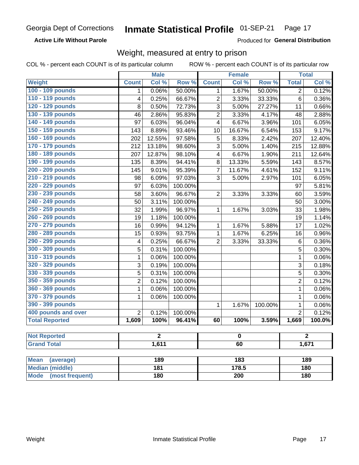**Active Life Without Parole** 

Produced for General Distribution

# Weight, measured at entry to prison

COL % - percent each COUNT is of its particular column

|                                |                | <b>Male</b> |                  |                  | <b>Female</b> |         |                | <b>Total</b> |  |
|--------------------------------|----------------|-------------|------------------|------------------|---------------|---------|----------------|--------------|--|
| <b>Weight</b>                  | <b>Count</b>   | Col %       | Row <sup>%</sup> | <b>Count</b>     | Col %         | Row %   | <b>Total</b>   | Col %        |  |
| 100 - 109 pounds               | 1              | 0.06%       | 50.00%           | 1                | 1.67%         | 50.00%  | $\overline{2}$ | 0.12%        |  |
| 110 - 119 pounds               | 4              | 0.25%       | 66.67%           | $\overline{c}$   | 3.33%         | 33.33%  | 6              | 0.36%        |  |
| 120 - 129 pounds               | 8              | 0.50%       | 72.73%           | 3                | 5.00%         | 27.27%  | 11             | 0.66%        |  |
| 130 - 139 pounds               | 46             | 2.86%       | 95.83%           | $\overline{c}$   | 3.33%         | 4.17%   | 48             | 2.88%        |  |
| 140 - 149 pounds               | 97             | 6.03%       | 96.04%           | 4                | 6.67%         | 3.96%   | 101            | 6.05%        |  |
| 150 - 159 pounds               | 143            | 8.89%       | 93.46%           | 10               | 16.67%        | 6.54%   | 153            | 9.17%        |  |
| 160 - 169 pounds               | 202            | 12.55%      | 97.58%           | 5                | 8.33%         | 2.42%   | 207            | 12.40%       |  |
| 170 - 179 pounds               | 212            | 13.18%      | 98.60%           | 3                | 5.00%         | 1.40%   | 215            | 12.88%       |  |
| 180 - 189 pounds               | 207            | 12.87%      | 98.10%           | 4                | 6.67%         | 1.90%   | 211            | 12.64%       |  |
| 190 - 199 pounds               | 135            | 8.39%       | 94.41%           | 8                | 13.33%        | 5.59%   | 143            | 8.57%        |  |
| 200 - 209 pounds               | 145            | 9.01%       | 95.39%           | 7                | 11.67%        | 4.61%   | 152            | 9.11%        |  |
| 210 - 219 pounds               | 98             | 6.09%       | 97.03%           | 3                | 5.00%         | 2.97%   | 101            | 6.05%        |  |
| 220 - 229 pounds               | 97             | 6.03%       | 100.00%          |                  |               |         | 97             | 5.81%        |  |
| 230 - 239 pounds               | 58             | 3.60%       | 96.67%           | $\overline{2}$   | 3.33%         | 3.33%   | 60             | 3.59%        |  |
| 240 - 249 pounds               | 50             | 3.11%       | 100.00%          |                  |               |         | 50             | 3.00%        |  |
| 250 - 259 pounds               | 32             | 1.99%       | 96.97%           | 1                | 1.67%         | 3.03%   | 33             | 1.98%        |  |
| 260 - 269 pounds               | 19             | 1.18%       | 100.00%          |                  |               |         | 19             | 1.14%        |  |
| 270 - 279 pounds               | 16             | 0.99%       | 94.12%           | 1                | 1.67%         | 5.88%   | 17             | 1.02%        |  |
| 280 - 289 pounds               | 15             | 0.93%       | 93.75%           | 1                | 1.67%         | 6.25%   | 16             | 0.96%        |  |
| 290 - 299 pounds               | 4              | 0.25%       | 66.67%           | $\overline{2}$   | 3.33%         | 33.33%  | 6              | 0.36%        |  |
| 300 - 309 pounds               | 5              | 0.31%       | 100.00%          |                  |               |         | 5              | 0.30%        |  |
| 310 - 319 pounds               | 1              | 0.06%       | 100.00%          |                  |               |         | $\mathbf{1}$   | 0.06%        |  |
| 320 - 329 pounds               | 3              | 0.19%       | 100.00%          |                  |               |         | 3              | 0.18%        |  |
| 330 - 339 pounds               | 5              | 0.31%       | 100.00%          |                  |               |         | 5              | 0.30%        |  |
| 350 - 359 pounds               | $\overline{2}$ | 0.12%       | 100.00%          |                  |               |         | $\overline{2}$ | 0.12%        |  |
| 360 - 369 pounds               | 1              | 0.06%       | 100.00%          |                  |               |         | $\mathbf 1$    | 0.06%        |  |
| 370 - 379 pounds               | 1              | 0.06%       | 100.00%          |                  |               |         | $\mathbf 1$    | 0.06%        |  |
| 390 - 399 pounds               |                |             |                  | 1                | 1.67%         | 100.00% | 1              | 0.06%        |  |
| 400 pounds and over            | $\overline{2}$ | 0.12%       | 100.00%          |                  |               |         | $\overline{2}$ | 0.12%        |  |
| <b>Total Reported</b>          | 1,609          | 100%        | 96.41%           | 60               | 100%          | 3.59%   | 1,669          | 100.0%       |  |
|                                |                |             |                  |                  |               |         |                |              |  |
| <b>Not Reported</b>            |                | 2           |                  |                  | 0             |         |                | 2            |  |
| <b>Grand Total</b>             | 1,611<br>60    |             |                  |                  | 1,671         |         |                |              |  |
|                                |                |             |                  |                  |               |         |                |              |  |
| <b>Mean</b><br>(average)       |                | 189         |                  |                  | 183           |         |                | 189          |  |
| <b>Median (middle)</b>         |                | 181         |                  |                  | 178.5         |         |                | 180          |  |
| <b>Mode</b><br>(most frequent) |                | 180         |                  | $\overline{200}$ |               |         | 180            |              |  |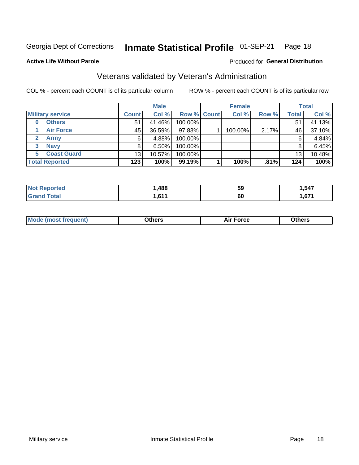#### Inmate Statistical Profile 01-SEP-21 Page 18

Produced for General Distribution

### **Active Life Without Parole**

# Veterans validated by Veteran's Administration

COL % - percent each COUNT is of its particular column

|                          |              | <b>Male</b> |                    | <b>Female</b> |       |              | <b>Total</b> |
|--------------------------|--------------|-------------|--------------------|---------------|-------|--------------|--------------|
| <b>Military service</b>  | <b>Count</b> | Col %       | <b>Row % Count</b> | Col %         | Row % | <b>Total</b> | Col %        |
| <b>Others</b><br>0       | 51           | 41.46%      | 100.00%            |               |       | 51           | 41.13%       |
| <b>Air Force</b>         | 45           | 36.59%      | 97.83%             | 100.00%       | 2.17% | 46           | 37.10%       |
| <b>Army</b>              | 6            | 4.88%       | 100.00%            |               |       | 6            | 4.84%        |
| <b>Navy</b><br>3         | 8            | $6.50\%$    | 100.00%            |               |       | 8            | 6.45%        |
| <b>Coast Guard</b><br>5. | 13           | 10.57%      | 100.00%            |               |       | 13           | 10.48%       |
| <b>Total Reported</b>    | 123          | 100%        | $99.19\%$          | 100%          | .81%  | 124          | 100%         |

| rtea : | .488       | <b>59</b> | 547           |
|--------|------------|-----------|---------------|
| Гоtal  | <b>CAA</b> | 60        | $\sim$<br>,67 |

| <b>Moo.</b> |
|-------------|
|-------------|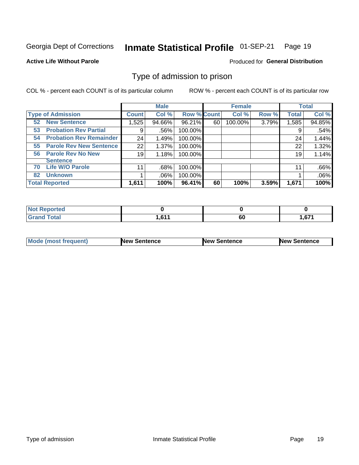#### Inmate Statistical Profile 01-SEP-21 Page 19

**Active Life Without Parole** 

Produced for General Distribution

# Type of admission to prison

COL % - percent each COUNT is of its particular column

|                                      |              | <b>Male</b> |                    |    | <b>Female</b> |       |              | <b>Total</b> |
|--------------------------------------|--------------|-------------|--------------------|----|---------------|-------|--------------|--------------|
| <b>Type of Admission</b>             | <b>Count</b> | Col %       | <b>Row % Count</b> |    | Col %         | Row % | <b>Total</b> | Col %        |
| <b>New Sentence</b><br>52            | 1,525        | 94.66%      | 96.21%             | 60 | 100.00%       | 3.79% | 1,585        | 94.85%       |
| <b>Probation Rev Partial</b><br>53   | 9            | .56%        | 100.00%            |    |               |       | 9            | .54%         |
| <b>Probation Rev Remainder</b><br>54 | 24           | 1.49%       | 100.00%            |    |               |       | 24           | 1.44%        |
| <b>Parole Rev New Sentence</b><br>55 | 22           | 1.37%       | 100.00%            |    |               |       | 22           | 1.32%        |
| <b>Parole Rev No New</b><br>56       | 19           | 1.18%       | 100.00%            |    |               |       | 19           | 1.14%        |
| <b>Sentence</b>                      |              |             |                    |    |               |       |              |              |
| <b>Life W/O Parole</b><br>70         | 11           | .68%        | 100.00%            |    |               |       | 11           | .66%         |
| <b>Unknown</b><br>82                 |              | $.06\%$     | 100.00%            |    |               |       |              | .06%         |
| <b>Total Reported</b>                | 1,611        | 100%        | 96.41%             | 60 | 100%          | 3.59% | 1,671        | 100%         |

| <b>Not Reported</b> |            |              |                     |
|---------------------|------------|--------------|---------------------|
| <b>Total</b>        | <b>CAA</b> | $\sim$<br>οu | c74<br><b>1,071</b> |

| Mode (most frequent) | <b>New Sentence</b> | <b>New Sentence</b> | <b>New Sentence</b> |
|----------------------|---------------------|---------------------|---------------------|
|                      |                     |                     |                     |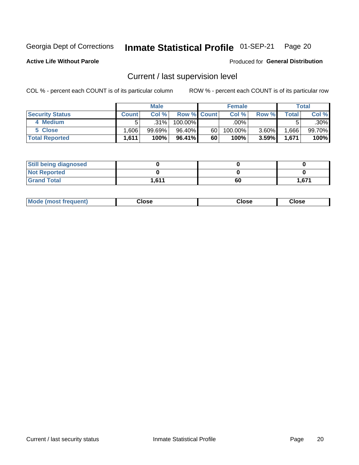#### Inmate Statistical Profile 01-SEP-21 Page 20

**Active Life Without Parole** 

Produced for General Distribution

# Current / last supervision level

COL % - percent each COUNT is of its particular column

|                        |              | <b>Male</b> |                    |    | <b>Female</b> |       |       | <b>Total</b> |
|------------------------|--------------|-------------|--------------------|----|---------------|-------|-------|--------------|
| <b>Security Status</b> | <b>Count</b> | Col%        | <b>Row % Count</b> |    | Col %         | Row % | Total | Col %        |
| 4 Medium               |              | $.31\%$     | $100.00\%$         |    | .00%          |       |       | .30%         |
| 5 Close                | .606         | 99.69%      | 96.40%             | 60 | 100.00%       | 3.60% | .666  | 99.70%       |
| <b>Total Reported</b>  | 1.611        | 100%        | $96.41\%$          | 60 | 100%          | 3.59% | 1,671 | 100%         |

| <b>Still being diagnosed</b> |       |    |       |
|------------------------------|-------|----|-------|
| <b>Not Reported</b>          |       |    |       |
| <b>Grand Total</b>           | 1,611 | 60 | 1.671 |

| <b>AhoM</b><br>rreauent) | <b>Close</b> | Close | Close |
|--------------------------|--------------|-------|-------|
|                          |              |       |       |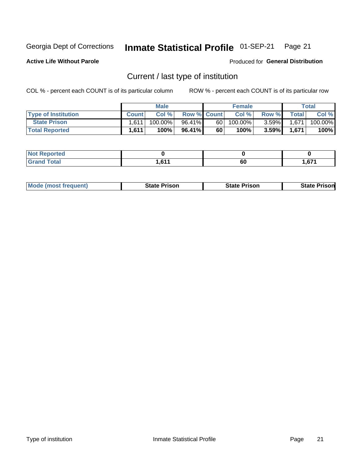#### Inmate Statistical Profile 01-SEP-21 Page 21

**Active Life Without Parole** 

Produced for General Distribution

# Current / last type of institution

COL % - percent each COUNT is of its particular column

|                            |              | <b>Male</b> |                    |      | <b>Female</b> |          |         | <b>Total</b> |
|----------------------------|--------------|-------------|--------------------|------|---------------|----------|---------|--------------|
| <b>Type of Institution</b> | <b>Count</b> | Col%        | <b>Row % Count</b> |      | Col %         | Row %    | Total I | Col %        |
| <b>State Prison</b>        | 1.611        | $100.00\%$  | 96.41%             | 60 l | 100.00%       | $3.59\%$ | 1,671   | 100.00%      |
| <b>Total Reported</b>      | 1.611        | 100%        | 96.41%             | 60   | $100\%$ .     | 3.59%    | 1.671   | 100%         |

| теа    |       |    |      |
|--------|-------|----|------|
| $\sim$ | 0.047 | 60 | .671 |

|  | Mode (most frequent) | <b>State Prison</b> | <b>State Prison</b> | <b>State Prison</b> |
|--|----------------------|---------------------|---------------------|---------------------|
|--|----------------------|---------------------|---------------------|---------------------|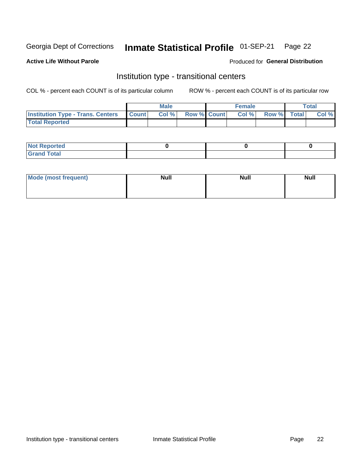#### Inmate Statistical Profile 01-SEP-21 Page 22

**Active Life Without Parole** 

### Produced for General Distribution

# Institution type - transitional centers

COL % - percent each COUNT is of its particular column

|                                                | Male  |                    | <b>Female</b> |                   | Total |
|------------------------------------------------|-------|--------------------|---------------|-------------------|-------|
| <b>Institution Type - Trans. Centers Count</b> | Col % | <b>Row % Count</b> |               | Col % Row % Total | Col % |
| <b>Total Reported</b>                          |       |                    |               |                   |       |

| <b>Reported</b><br><b>NOT</b><br>$\sim$            |  |  |
|----------------------------------------------------|--|--|
| $f$ $f \circ f \circ f$<br>$C = 1$<br><b>TULAI</b> |  |  |

| Mode (most frequent) | <b>Null</b> | <b>Null</b> | <b>Null</b> |
|----------------------|-------------|-------------|-------------|
|                      |             |             |             |
|                      |             |             |             |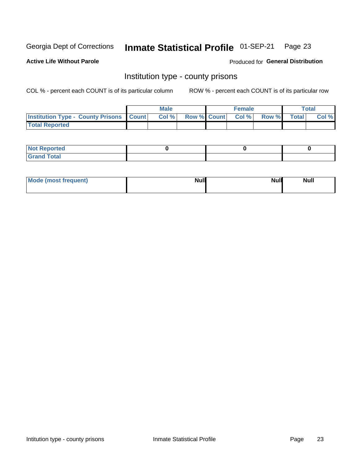#### Inmate Statistical Profile 01-SEP-21 Page 23

**Active Life Without Parole** 

Produced for General Distribution

## Institution type - county prisons

COL % - percent each COUNT is of its particular column

|                                                    | <b>Male</b> |  | <b>Female</b>            |             | <b>Total</b> |
|----------------------------------------------------|-------------|--|--------------------------|-------------|--------------|
| <b>Institution Type - County Prisons   Count  </b> | Col %       |  | <b>Row % Count Col %</b> | Row % Total | Col %        |
| <b>Total Reported</b>                              |             |  |                          |             |              |

| <b>Not Reported</b>   |  |  |
|-----------------------|--|--|
| <b>Total</b><br>Granc |  |  |

| Mode (most frequent) | <b>Null</b> | <b>Null</b><br><b>Null</b> |
|----------------------|-------------|----------------------------|
|                      |             |                            |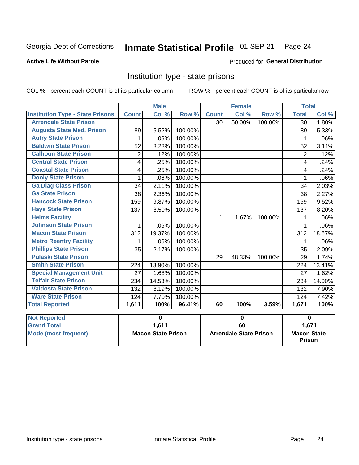#### Inmate Statistical Profile 01-SEP-21 Page 24

#### **Active Life Without Parole**

#### Produced for General Distribution

# Institution type - state prisons

COL % - percent each COUNT is of its particular column

|                                         |              | <b>Male</b> |         |              | <b>Female</b> |         | <b>Total</b>   |          |
|-----------------------------------------|--------------|-------------|---------|--------------|---------------|---------|----------------|----------|
| <b>Institution Type - State Prisons</b> | <b>Count</b> | Col %       | Row %   | <b>Count</b> | Col %         | Row %   | <b>Total</b>   | Col %    |
| <b>Arrendale State Prison</b>           |              |             |         | 30           | 50.00%        | 100.00% | 30             | 1.80%    |
| <b>Augusta State Med. Prison</b>        | 89           | 5.52%       | 100.00% |              |               |         | 89             | 5.33%    |
| <b>Autry State Prison</b>               | 1            | .06%        | 100.00% |              |               |         | 1              | .06%     |
| <b>Baldwin State Prison</b>             | 52           | 3.23%       | 100.00% |              |               |         | 52             | 3.11%    |
| <b>Calhoun State Prison</b>             | 2            | .12%        | 100.00% |              |               |         | $\overline{2}$ | .12%     |
| <b>Central State Prison</b>             | 4            | .25%        | 100.00% |              |               |         | 4              | .24%     |
| <b>Coastal State Prison</b>             | 4            | .25%        | 100.00% |              |               |         | 4              | .24%     |
| <b>Dooly State Prison</b>               | 1            | .06%        | 100.00% |              |               |         | 1              | .06%     |
| <b>Ga Diag Class Prison</b>             | 34           | 2.11%       | 100.00% |              |               |         | 34             | 2.03%    |
| <b>Ga State Prison</b>                  | 38           | 2.36%       | 100.00% |              |               |         | 38             | 2.27%    |
| <b>Hancock State Prison</b>             | 159          | 9.87%       | 100.00% |              |               |         | 159            | 9.52%    |
| <b>Hays State Prison</b>                | 137          | 8.50%       | 100.00% |              |               |         | 137            | 8.20%    |
| <b>Helms Facility</b>                   |              |             |         | 1            | 1.67%         | 100.00% | 1              | .06%     |
| <b>Johnson State Prison</b>             | 1            | .06%        | 100.00% |              |               |         | 1              | .06%     |
| <b>Macon State Prison</b>               | 312          | 19.37%      | 100.00% |              |               |         | 312            | 18.67%   |
| <b>Metro Reentry Facility</b>           | 1            | .06%        | 100.00% |              |               |         | 1              | .06%     |
| <b>Phillips State Prison</b>            | 35           | 2.17%       | 100.00% |              |               |         | 35             | 2.09%    |
| <b>Pulaski State Prison</b>             |              |             |         | 29           | 48.33%        | 100.00% | 29             | 1.74%    |
| <b>Smith State Prison</b>               | 224          | 13.90%      | 100.00% |              |               |         | 224            | 13.41%   |
| <b>Special Management Unit</b>          | 27           | 1.68%       | 100.00% |              |               |         | 27             | 1.62%    |
| <b>Telfair State Prison</b>             | 234          | 14.53%      | 100.00% |              |               |         | 234            | 14.00%   |
| <b>Valdosta State Prison</b>            | 132          | 8.19%       | 100.00% |              |               |         | 132            | 7.90%    |
| <b>Ware State Prison</b>                | 124          | 7.70%       | 100.00% |              |               |         | 124            | 7.42%    |
| <b>Total Reported</b>                   | 1,611        | 100%        | 96.41%  | 60           | 100%          | 3.59%   | 1,671          | 100%     |
| <b>Not Reported</b>                     |              | 0           |         |              | 0             |         |                | $\bf{0}$ |
|                                         |              |             |         |              |               |         |                |          |

| <b>INOL REDORTEG</b> |                           |                               |                                     |
|----------------------|---------------------------|-------------------------------|-------------------------------------|
| <b>Grand Total</b>   | 1.611                     | 60                            | 1.671                               |
| Mode (most frequent) | <b>Macon State Prison</b> | <b>Arrendale State Prison</b> | <b>Macon State</b><br><b>Prison</b> |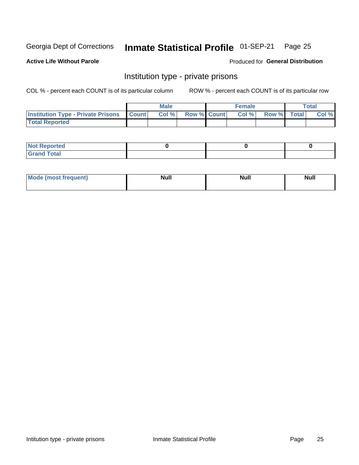#### Inmate Statistical Profile 01-SEP-21 Page 25

**Active Life Without Parole** 

Produced for General Distribution

# Institution type - private prisons

COL % - percent each COUNT is of its particular column

|                                                 | <b>Male</b> |                    | <b>Female</b> |             | Total |
|-------------------------------------------------|-------------|--------------------|---------------|-------------|-------|
| <b>Institution Type - Private Prisons Count</b> | Col%        | <b>Row % Count</b> | Col %         | Row % Total | Col % |
| <b>Total Reported</b>                           |             |                    |               |             |       |

| <b>Reported</b><br><b>NOT</b><br>$\sim$            |  |  |
|----------------------------------------------------|--|--|
| $f$ $f \circ f \circ f$<br>$C = 1$<br><b>TULAI</b> |  |  |

| <b>Mo</b><br>frequent) | <b>Null</b> | <b>Null</b> | . . I *<br><b>IVUII</b> |
|------------------------|-------------|-------------|-------------------------|
|                        |             |             |                         |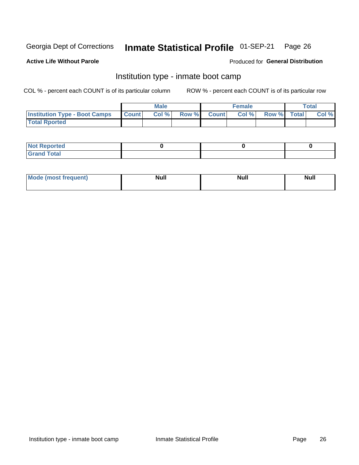#### Inmate Statistical Profile 01-SEP-21 Page 26

### **Active Life Without Parole**

### Produced for General Distribution

# Institution type - inmate boot camp

COL % - percent each COUNT is of its particular column

|                                      |                  | <b>Male</b> |              |              | <b>Female</b> |             | <b>Total</b> |
|--------------------------------------|------------------|-------------|--------------|--------------|---------------|-------------|--------------|
| <b>Institution Type - Boot Camps</b> | <b>I</b> Count I | Col %       | <b>Row %</b> | <b>Count</b> | Col %         | Row % Total | Col %        |
| <b>Total Rported</b>                 |                  |             |              |              |               |             |              |

| <b>Not Reported</b>            |  |  |
|--------------------------------|--|--|
| <b>Total</b><br>C <sub>r</sub> |  |  |

| Mod<br>uamo | Nul.<br>$- - - - - -$ | <b>Null</b> | . .<br>uu.<br>------ |
|-------------|-----------------------|-------------|----------------------|
|             |                       |             |                      |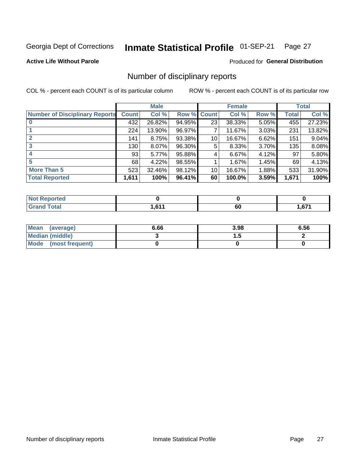#### Inmate Statistical Profile 01-SEP-21 Page 27

**Active Life Without Parole** 

**Produced for General Distribution** 

# Number of disciplinary reports

COL % - percent each COUNT is of its particular column

|                                       |              | <b>Male</b> |                    |    | <b>Female</b> |          |       | <b>Total</b> |
|---------------------------------------|--------------|-------------|--------------------|----|---------------|----------|-------|--------------|
| <b>Number of Disciplinary Reports</b> | <b>Count</b> | Col %       | <b>Row % Count</b> |    | Col %         | Row %    | Total | Col %        |
|                                       | 432          | 26.82%      | 94.95%             | 23 | 38.33%        | $5.05\%$ | 455   | 27.23%       |
|                                       | 224          | 13.90%      | 96.97%             |    | 11.67%        | 3.03%    | 231   | 13.82%       |
|                                       | 141          | 8.75%       | 93.38%             | 10 | 16.67%        | 6.62%    | 151   | 9.04%        |
| 3                                     | 130          | 8.07%       | 96.30%             | 5  | 8.33%         | $3.70\%$ | 135   | 8.08%        |
|                                       | 93           | 5.77%       | 95.88%             | 4  | 6.67%         | 4.12%    | 97    | 5.80%        |
| 5                                     | 68           | 4.22%       | 98.55%             |    | 1.67%         | 1.45%    | 69    | 4.13%        |
| <b>More Than 5</b>                    | 523          | 32.46%      | 98.12%             | 10 | 16.67%        | 1.88%    | 533   | 31.90%       |
| <b>Total Reported</b>                 | 1,611        | 100%        | 96.41%             | 60 | 100.0%        | 3.59%    | 1,671 | 100%         |

| orted<br>NO  |            |         |             |
|--------------|------------|---------|-------------|
| <b>Total</b> | <b>C44</b> | ~<br>σu | c74<br>1.01 |

| Mean (average)         | 6.66 | 3.98 | 6.56 |
|------------------------|------|------|------|
| <b>Median (middle)</b> |      |      |      |
| Mode (most frequent)   |      |      |      |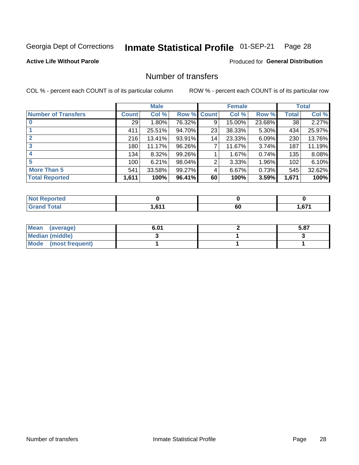#### Inmate Statistical Profile 01-SEP-21 Page 28

### **Active Life Without Parole**

### **Produced for General Distribution**

# Number of transfers

COL % - percent each COUNT is of its particular column

|                            |         | <b>Male</b> |        |              | <b>Female</b> |          |              | <b>Total</b> |
|----------------------------|---------|-------------|--------|--------------|---------------|----------|--------------|--------------|
| <b>Number of Transfers</b> | Count l | Col %       | Row %  | <b>Count</b> | Col %         | Row %    | <b>Total</b> | Col %        |
|                            | 29      | $1.80\%$    | 76.32% | 9            | 15.00%        | 23.68%   | 38           | 2.27%        |
|                            | 411     | 25.51%      | 94.70% | 23           | 38.33%        | $5.30\%$ | 434          | 25.97%       |
| $\mathbf{2}$               | 216     | 13.41%      | 93.91% | 14           | 23.33%        | 6.09%    | 230          | 13.76%       |
| 3                          | 180     | 11.17%      | 96.26% | 7            | 11.67%        | $3.74\%$ | 187          | 11.19%       |
|                            | 134     | $8.32\%$    | 99.26% |              | 1.67%         | 0.74%    | 135          | 8.08%        |
| 5                          | 100     | 6.21%       | 98.04% | 2            | 3.33%         | 1.96%    | 102          | 6.10%        |
| <b>More Than 5</b>         | 541     | 33.58%      | 99.27% | 4            | 6.67%         | 0.73%    | 545          | 32.62%       |
| <b>Total Reported</b>      | 1,611   | 100%        | 96.41% | 60           | 100%          | 3.59%    | 1,671        | 100%         |

| prted<br>NOT F |      |    |                 |
|----------------|------|----|-----------------|
| 「otal          | 0.44 | 60 | c74<br>ا / ס, ו |

| Mean (average)       | 6.01 | 5.87 |
|----------------------|------|------|
| Median (middle)      |      |      |
| Mode (most frequent) |      |      |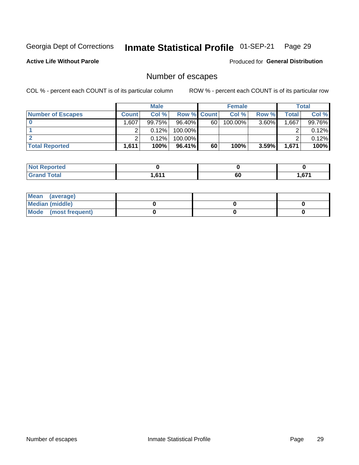#### Inmate Statistical Profile 01-SEP-21 Page 29

**Active Life Without Parole** 

Produced for General Distribution

# Number of escapes

COL % - percent each COUNT is of its particular column

|                          |              | <b>Male</b> |                    |    | <b>Female</b> |          |       | <b>Total</b> |
|--------------------------|--------------|-------------|--------------------|----|---------------|----------|-------|--------------|
| <b>Number of Escapes</b> | <b>Count</b> | Col %       | <b>Row % Count</b> |    | Col %         | Row %    | Total | Col %        |
|                          | .,607'       | 99.75%      | $96.40\%$          | 60 | 100.00%       | $3.60\%$ | .667  | 99.76%       |
|                          |              | 0.12%       | 100.00%            |    |               |          |       | 0.12%        |
|                          |              | 0.12%       | $100.00\%$         |    |               |          |       | 0.12%        |
| <b>Total Reported</b>    | 1,611        | 100%        | $96.41\%$          | 60 | 100%          | 3.59%    | 1,671 | 100%         |

| <b>orted</b><br><b>ANDITION</b> |            |         |        |
|---------------------------------|------------|---------|--------|
| <b>f</b> otal<br>' Grand        | <b>CAA</b> | ~<br>οu | 671. ا |

| Mean (average)         |  |  |
|------------------------|--|--|
| <b>Median (middle)</b> |  |  |
| Mode (most frequent)   |  |  |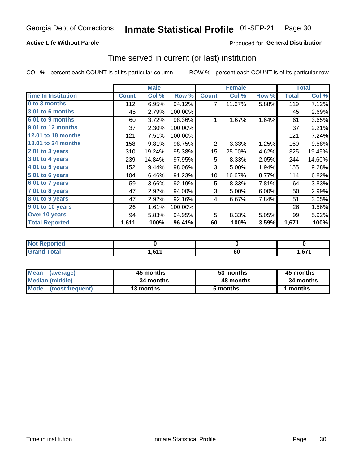### **Active Life Without Parole**

### Produced for General Distribution

# Time served in current (or last) institution

COL % - percent each COUNT is of its particular column

|                            |              | <b>Male</b> |         |                 | <b>Female</b> |       |              | <b>Total</b> |
|----------------------------|--------------|-------------|---------|-----------------|---------------|-------|--------------|--------------|
| <b>Time In Institution</b> | <b>Count</b> | Col %       | Row %   | <b>Count</b>    | Col %         | Row % | <b>Total</b> | Col %        |
| 0 to 3 months              | 112          | 6.95%       | 94.12%  | 7               | 11.67%        | 5.88% | 119          | 7.12%        |
| 3.01 to 6 months           | 45           | 2.79%       | 100.00% |                 |               |       | 45           | 2.69%        |
| $6.01$ to 9 months         | 60           | 3.72%       | 98.36%  | 1               | 1.67%         | 1.64% | 61           | 3.65%        |
| 9.01 to 12 months          | 37           | 2.30%       | 100.00% |                 |               |       | 37           | 2.21%        |
| 12.01 to 18 months         | 121          | 7.51%       | 100.00% |                 |               |       | 121          | 7.24%        |
| 18.01 to 24 months         | 158          | 9.81%       | 98.75%  | $\overline{2}$  | 3.33%         | 1.25% | 160          | 9.58%        |
| $2.01$ to 3 years          | 310          | 19.24%      | 95.38%  | 15 <sub>2</sub> | 25.00%        | 4.62% | 325          | 19.45%       |
| 3.01 to 4 years            | 239          | 14.84%      | 97.95%  | 5               | 8.33%         | 2.05% | 244          | 14.60%       |
| 4.01 to 5 years            | 152          | 9.44%       | 98.06%  | 3               | 5.00%         | 1.94% | 155          | 9.28%        |
| 5.01 to 6 years            | 104          | 6.46%       | 91.23%  | 10 <sup>°</sup> | 16.67%        | 8.77% | 114          | 6.82%        |
| 6.01 to 7 years            | 59           | 3.66%       | 92.19%  | 5               | 8.33%         | 7.81% | 64           | 3.83%        |
| 7.01 to 8 years            | 47           | 2.92%       | 94.00%  | 3               | 5.00%         | 6.00% | 50           | 2.99%        |
| 8.01 to 9 years            | 47           | 2.92%       | 92.16%  | 4               | 6.67%         | 7.84% | 51           | 3.05%        |
| 9.01 to 10 years           | 26           | 1.61%       | 100.00% |                 |               |       | 26           | 1.56%        |
| Over 10 years              | 94           | 5.83%       | 94.95%  | 5               | 8.33%         | 5.05% | 99           | 5.92%        |
| <b>Total Reported</b>      | 1,611        | 100%        | 96.41%  | 60              | 100%          | 3.59% | 1,671        | 100%         |

| <b>Not Reported</b> |       |    |      |
|---------------------|-------|----|------|
| <b>Total</b>        | . 011 | ου | ,671 |

| <b>Mean</b><br>(average) | 45 months | 53 months | 45 months |  |
|--------------------------|-----------|-----------|-----------|--|
| Median (middle)          | 34 months | 48 months | 34 months |  |
| Mode (most frequent)     | 13 months | 5 months  | l months  |  |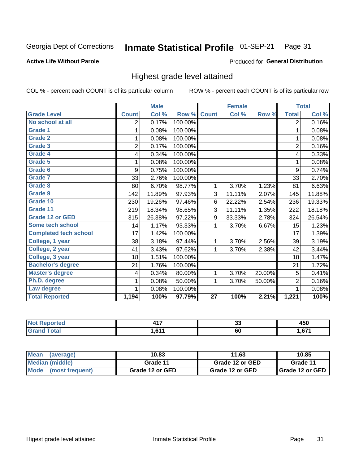#### Inmate Statistical Profile 01-SEP-21 Page 31

#### **Active Life Without Parole**

#### Produced for General Distribution

# Highest grade level attained

COL % - percent each COUNT is of its particular column

|                              |                | <b>Male</b> |         |                 | <b>Female</b> |        |                | <b>Total</b> |
|------------------------------|----------------|-------------|---------|-----------------|---------------|--------|----------------|--------------|
| <b>Grade Level</b>           | <b>Count</b>   | Col %       | Row %   | <b>Count</b>    | Col %         | Row %  | <b>Total</b>   | Col %        |
| No school at all             | 2              | 0.17%       | 100.00% |                 |               |        | $\overline{2}$ | 0.16%        |
| <b>Grade 1</b>               | 1              | 0.08%       | 100.00% |                 |               |        | 1              | 0.08%        |
| <b>Grade 2</b>               | 1              | 0.08%       | 100.00% |                 |               |        | 1              | 0.08%        |
| <b>Grade 3</b>               | $\overline{2}$ | 0.17%       | 100.00% |                 |               |        | $\overline{2}$ | 0.16%        |
| <b>Grade 4</b>               | 4              | 0.34%       | 100.00% |                 |               |        | 4              | 0.33%        |
| Grade 5                      | 1              | 0.08%       | 100.00% |                 |               |        | 1              | 0.08%        |
| Grade 6                      | 9              | 0.75%       | 100.00% |                 |               |        | 9              | 0.74%        |
| Grade 7                      | 33             | 2.76%       | 100.00% |                 |               |        | 33             | 2.70%        |
| <b>Grade 8</b>               | 80             | 6.70%       | 98.77%  | 1               | 3.70%         | 1.23%  | 81             | 6.63%        |
| Grade 9                      | 142            | 11.89%      | 97.93%  | 3               | 11.11%        | 2.07%  | 145            | 11.88%       |
| Grade 10                     | 230            | 19.26%      | 97.46%  | 6               | 22.22%        | 2.54%  | 236            | 19.33%       |
| Grade 11                     | 219            | 18.34%      | 98.65%  | 3               | 11.11%        | 1.35%  | 222            | 18.18%       |
| <b>Grade 12 or GED</b>       | 315            | 26.38%      | 97.22%  | 9               | 33.33%        | 2.78%  | 324            | 26.54%       |
| Some tech school             | 14             | 1.17%       | 93.33%  | 1               | 3.70%         | 6.67%  | 15             | 1.23%        |
| <b>Completed tech school</b> | 17             | 1.42%       | 100.00% |                 |               |        | 17             | 1.39%        |
| College, 1 year              | 38             | 3.18%       | 97.44%  | 1               | 3.70%         | 2.56%  | 39             | 3.19%        |
| College, 2 year              | 41             | 3.43%       | 97.62%  | 1               | 3.70%         | 2.38%  | 42             | 3.44%        |
| College, 3 year              | 18             | 1.51%       | 100.00% |                 |               |        | 18             | 1.47%        |
| <b>Bachelor's degree</b>     | 21             | 1.76%       | 100.00% |                 |               |        | 21             | 1.72%        |
| <b>Master's degree</b>       | 4              | 0.34%       | 80.00%  | 1               | 3.70%         | 20.00% | 5              | 0.41%        |
| Ph.D. degree                 | 1              | 0.08%       | 50.00%  | 1               | 3.70%         | 50.00% | $\overline{2}$ | 0.16%        |
| Law degree                   | 1              | 0.08%       | 100.00% |                 |               |        | 1              | 0.08%        |
| <b>Total Reported</b>        | 1,194          | 100%        | 97.79%  | $\overline{27}$ | 100%          | 2.21%  | 1,221          | 100%         |

| rted | 11 T                    | $\ddot{\phantom{0}}$ | 1 P A        |
|------|-------------------------|----------------------|--------------|
| NO   |                         | vu                   | 40C          |
| υιαι | <b>C44</b><br>I I O . I | 60                   | c74<br>ו וס, |

| <b>Mean</b><br>(average) | 10.83           | 11.63           | 10.85             |
|--------------------------|-----------------|-----------------|-------------------|
| Median (middle)          | Grade 11        | Grade 12 or GED | Grade 11          |
| Mode<br>(most frequent)  | Grade 12 or GED | Grade 12 or GED | I Grade 12 or GED |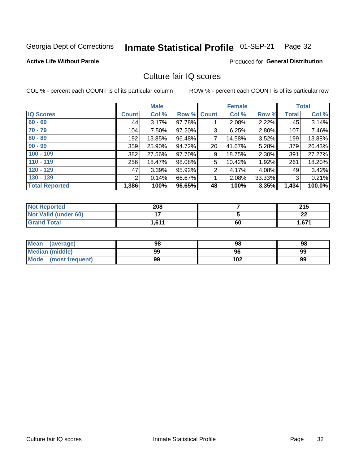#### Inmate Statistical Profile 01-SEP-21 Page 32

#### **Active Life Without Parole**

### **Produced for General Distribution**

# Culture fair IQ scores

COL % - percent each COUNT is of its particular column

|                       |              | <b>Male</b> |                    |                | <b>Female</b> |          |              | <b>Total</b> |
|-----------------------|--------------|-------------|--------------------|----------------|---------------|----------|--------------|--------------|
| <b>IQ Scores</b>      | <b>Count</b> | Col %       | <b>Row % Count</b> |                | Col %         | Row %    | <b>Total</b> | Col %        |
| $60 - 69$             | 44           | 3.17%       | 97.78%             |                | 2.08%         | 2.22%    | 45           | 3.14%        |
| $70 - 79$             | 104          | 7.50%       | 97.20%             | 3              | 6.25%         | 2.80%    | 107          | 7.46%        |
| $80 - 89$             | 192          | 13.85%      | 96.48%             | 7              | 14.58%        | $3.52\%$ | 199          | 13.88%       |
| $90 - 99$             | 359          | 25.90%      | 94.72%             | 20             | 41.67%        | 5.28%    | 379          | 26.43%       |
| $100 - 109$           | 382          | 27.56%      | 97.70%             | 9              | 18.75%        | 2.30%    | 391          | 27.27%       |
| $110 - 119$           | 256          | 18.47%      | 98.08%             | 5              | 10.42%        | 1.92%    | 261          | 18.20%       |
| $120 - 129$           | 47           | 3.39%       | 95.92%             | $\overline{2}$ | 4.17%         | $4.08\%$ | 49           | 3.42%        |
| $130 - 139$           | 2            | 0.14%       | 66.67%             | 1              | 2.08%         | 33.33%   | 3            | 0.21%        |
| <b>Total Reported</b> | 1,386        | 100%        | 96.65%             | 48             | 100%          | 3.35%    | 1,434        | 100.0%       |

| <b>Not Reported</b>  | 208   |    | 24F<br>2 I J |
|----------------------|-------|----|--------------|
| Not Valid (under 60) |       |    | ົ<br>LL      |
| <b>Grand Total</b>   | 1,611 | 60 | 1,671        |

| <b>Mean</b><br>(average) | 98 | 98  | 98 |
|--------------------------|----|-----|----|
| Median (middle)          | 99 | 96  | 99 |
| Mode (most frequent)     | 99 | 102 | 99 |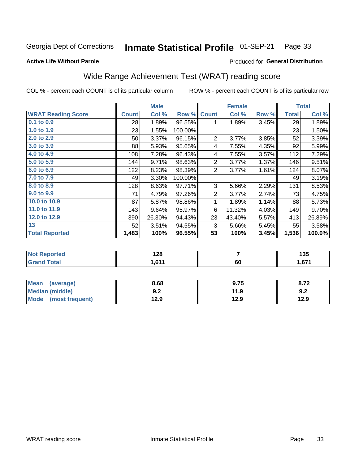#### Inmate Statistical Profile 01-SEP-21 Page 33

#### **Active Life Without Parole**

# Produced for General Distribution

# Wide Range Achievement Test (WRAT) reading score

COL % - percent each COUNT is of its particular column

|                           |              | <b>Male</b> |         |                | <b>Female</b> |       |              | <b>Total</b> |
|---------------------------|--------------|-------------|---------|----------------|---------------|-------|--------------|--------------|
| <b>WRAT Reading Score</b> | <b>Count</b> | Col %       | Row %   | <b>Count</b>   | Col %         | Row % | <b>Total</b> | Col %        |
| 0.1 to 0.9                | 28           | 1.89%       | 96.55%  | 1              | 1.89%         | 3.45% | 29           | 1.89%        |
| 1.0 to 1.9                | 23           | 1.55%       | 100.00% |                |               |       | 23           | 1.50%        |
| 2.0 to 2.9                | 50           | 3.37%       | 96.15%  | $\overline{2}$ | 3.77%         | 3.85% | 52           | 3.39%        |
| 3.0 to 3.9                | 88           | 5.93%       | 95.65%  | 4              | 7.55%         | 4.35% | 92           | 5.99%        |
| 4.0 to 4.9                | 108          | 7.28%       | 96.43%  | 4              | 7.55%         | 3.57% | 112          | 7.29%        |
| 5.0 to 5.9                | 144          | 9.71%       | 98.63%  | $\overline{c}$ | 3.77%         | 1.37% | 146          | 9.51%        |
| 6.0 to 6.9                | 122          | 8.23%       | 98.39%  | $\overline{2}$ | 3.77%         | 1.61% | 124          | 8.07%        |
| 7.0 to 7.9                | 49           | 3.30%       | 100.00% |                |               |       | 49           | 3.19%        |
| 8.0 to 8.9                | 128          | 8.63%       | 97.71%  | 3              | 5.66%         | 2.29% | 131          | 8.53%        |
| 9.0 to 9.9                | 71           | 4.79%       | 97.26%  | 2              | 3.77%         | 2.74% | 73           | 4.75%        |
| 10.0 to 10.9              | 87           | 5.87%       | 98.86%  | 1              | 1.89%         | 1.14% | 88           | 5.73%        |
| 11.0 to 11.9              | 143          | 9.64%       | 95.97%  | 6              | 11.32%        | 4.03% | 149          | 9.70%        |
| 12.0 to 12.9              | 390          | 26.30%      | 94.43%  | 23             | 43.40%        | 5.57% | 413          | 26.89%       |
| 13                        | 52           | 3.51%       | 94.55%  | 3              | 5.66%         | 5.45% | 55           | 3.58%        |
| <b>Total Reported</b>     | 1,483        | 100%        | 96.55%  | 53             | 100%          | 3.45% | 1,536        | 100.0%       |
|                           |              |             |         |                |               |       |              |              |
|                           |              |             |         |                |               |       |              |              |

| <b>Not</b>      | 0 הו   |    | 4 A F |
|-----------------|--------|----|-------|
| <b>Reported</b> | 140    |    | ייי   |
| <b>c</b> otal   | . 0.44 | 60 | .67'  |

| <b>Mean</b><br>(average)       | 8.68       | 9.75 | 8.72 |
|--------------------------------|------------|------|------|
| <b>Median (middle)</b>         | י ה<br>9.Z | 11.9 | 9.2  |
| <b>Mode</b><br>(most frequent) | 12.9       | 12.9 | 12.9 |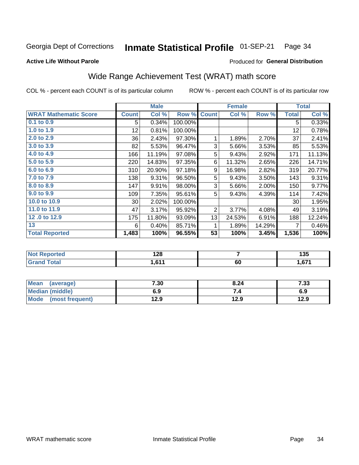#### Inmate Statistical Profile 01-SEP-21 Page 34

### **Active Life Without Parole**

### Produced for General Distribution

# Wide Range Achievement Test (WRAT) math score

COL % - percent each COUNT is of its particular column

|                              |                 | <b>Male</b> |         |              | <b>Female</b> |        |              | <b>Total</b> |
|------------------------------|-----------------|-------------|---------|--------------|---------------|--------|--------------|--------------|
| <b>WRAT Mathematic Score</b> | <b>Count</b>    | Col %       | Row %   | <b>Count</b> | Col %         | Row %  | <b>Total</b> | Col %        |
| 0.1 to 0.9                   | 5               | 0.34%       | 100.00% |              |               |        | 5            | 0.33%        |
| 1.0 to 1.9                   | 12 <sub>2</sub> | 0.81%       | 100.00% |              |               |        | 12           | 0.78%        |
| 2.0 to 2.9                   | 36              | 2.43%       | 97.30%  | 1            | 1.89%         | 2.70%  | 37           | 2.41%        |
| 3.0 to 3.9                   | 82              | 5.53%       | 96.47%  | 3            | 5.66%         | 3.53%  | 85           | 5.53%        |
| 4.0 to 4.9                   | 166             | 11.19%      | 97.08%  | 5            | 9.43%         | 2.92%  | 171          | 11.13%       |
| 5.0 to 5.9                   | 220             | 14.83%      | 97.35%  | 6            | 11.32%        | 2.65%  | 226          | 14.71%       |
| 6.0 to 6.9                   | 310             | 20.90%      | 97.18%  | 9            | 16.98%        | 2.82%  | 319          | 20.77%       |
| 7.0 to 7.9                   | 138             | 9.31%       | 96.50%  | 5            | 9.43%         | 3.50%  | 143          | 9.31%        |
| 8.0 to 8.9                   | 147             | 9.91%       | 98.00%  | 3            | 5.66%         | 2.00%  | 150          | 9.77%        |
| 9.0 to 9.9                   | 109             | 7.35%       | 95.61%  | 5            | 9.43%         | 4.39%  | 114          | 7.42%        |
| 10.0 to 10.9                 | 30 <sup>°</sup> | 2.02%       | 100.00% |              |               |        | 30           | 1.95%        |
| 11.0 to 11.9                 | 47              | 3.17%       | 95.92%  | 2            | 3.77%         | 4.08%  | 49           | 3.19%        |
| 12.0 to 12.9                 | 175             | 11.80%      | 93.09%  | 13           | 24.53%        | 6.91%  | 188          | 12.24%       |
| 13                           | 6               | 0.40%       | 85.71%  | 1            | 1.89%         | 14.29% |              | 0.46%        |
| <b>Total Reported</b>        | 1,483           | 100%        | 96.55%  | 53           | 100%          | 3.45%  | 1,536        | 100%         |
|                              |                 |             |         |              |               |        |              |              |
| <del>.</del>                 |                 |             |         |              |               |        |              |              |

| <b>Not</b>      | 0 הו   |    | 4 A F |
|-----------------|--------|----|-------|
| <b>Reported</b> | 140    |    | ייי   |
| <b>c</b> otal   | . 0.44 | 60 | .67'  |

| <b>Mean</b><br>(average)       | 7.30 | 8.24 | - פר<br>دد. |
|--------------------------------|------|------|-------------|
| Median (middle)                | 6.9  |      | 6.9         |
| <b>Mode</b><br>(most frequent) | 12.9 | 12.9 | 12.9        |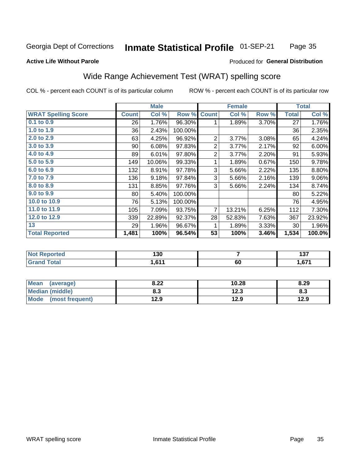#### Inmate Statistical Profile 01-SEP-21 Page 35

#### **Active Life Without Parole**

#### Produced for General Distribution

# Wide Range Achievement Test (WRAT) spelling score

COL % - percent each COUNT is of its particular column

|                            |              | <b>Male</b> |         |                | <b>Female</b> |       |              | <b>Total</b> |
|----------------------------|--------------|-------------|---------|----------------|---------------|-------|--------------|--------------|
| <b>WRAT Spelling Score</b> | <b>Count</b> | Col %       | Row %   | <b>Count</b>   | Col %         | Row % | <b>Total</b> | Col %        |
| 0.1 to 0.9                 | 26           | 1.76%       | 96.30%  | 1              | 1.89%         | 3.70% | 27           | 1.76%        |
| 1.0 to 1.9                 | 36           | 2.43%       | 100.00% |                |               |       | 36           | 2.35%        |
| 2.0 to 2.9                 | 63           | 4.25%       | 96.92%  | 2              | 3.77%         | 3.08% | 65           | 4.24%        |
| 3.0 to 3.9                 | 90           | 6.08%       | 97.83%  | $\overline{2}$ | 3.77%         | 2.17% | 92           | 6.00%        |
| 4.0 to 4.9                 | 89           | 6.01%       | 97.80%  | $\overline{2}$ | 3.77%         | 2.20% | 91           | 5.93%        |
| 5.0 to 5.9                 | 149          | 10.06%      | 99.33%  | 1              | 1.89%         | 0.67% | 150          | 9.78%        |
| 6.0 to 6.9                 | 132          | 8.91%       | 97.78%  | 3              | 5.66%         | 2.22% | 135          | 8.80%        |
| 7.0 to 7.9                 | 136          | 9.18%       | 97.84%  | 3              | 5.66%         | 2.16% | 139          | 9.06%        |
| 8.0 to 8.9                 | 131          | 8.85%       | 97.76%  | 3              | 5.66%         | 2.24% | 134          | 8.74%        |
| 9.0 to 9.9                 | 80           | 5.40%       | 100.00% |                |               |       | 80           | 5.22%        |
| 10.0 to 10.9               | 76           | 5.13%       | 100.00% |                |               |       | 76           | 4.95%        |
| 11.0 to 11.9               | 105          | 7.09%       | 93.75%  | $\overline{7}$ | 13.21%        | 6.25% | 112          | 7.30%        |
| 12.0 to 12.9               | 339          | 22.89%      | 92.37%  | 28             | 52.83%        | 7.63% | 367          | 23.92%       |
| 13                         | 29           | 1.96%       | 96.67%  |                | 1.89%         | 3.33% | 30           | 1.96%        |
| <b>Total Reported</b>      | 1,481        | 100%        | 96.54%  | 53             | 100%          | 3.46% | 1,534        | 100.0%       |
|                            |              |             |         |                |               |       |              |              |
| <b>Not Reported</b>        |              | 130         |         |                | 7             |       |              | 137          |
| <b>Grand Total</b>         |              | 1,611       |         |                | 60            |       |              | 1,671        |

| <b>Mean</b><br>(average)       | ר ס<br>0.ZZ | 10.28       | 8.29 |
|--------------------------------|-------------|-------------|------|
| <b>Median (middle)</b>         | 8.3         | 1つ ?<br>د ع | ი.ა  |
| <b>Mode</b><br>(most frequent) | 12.9        | 12.9        | 12.9 |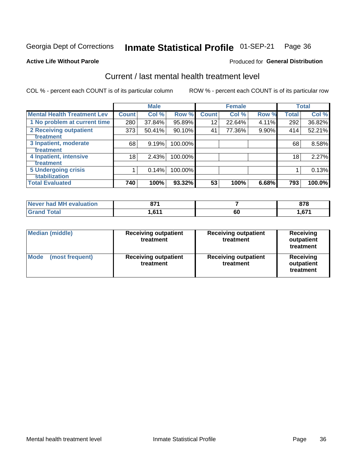#### Inmate Statistical Profile 01-SEP-21 Page 36

#### **Active Life Without Parole**

### **Produced for General Distribution**

# Current / last mental health treatment level

COL % - percent each COUNT is of its particular column

|                                    |              | <b>Male</b> |         |              | <b>Female</b> |          |       | <b>Total</b> |
|------------------------------------|--------------|-------------|---------|--------------|---------------|----------|-------|--------------|
| <b>Mental Health Treatment Lev</b> | <b>Count</b> | Col %       | Row %   | <b>Count</b> | Col %         | Row %    | Total | Col %        |
| 1 No problem at current time       | 280          | 37.84%      | 95.89%  | 12           | 22.64%        | 4.11%    | 292   | 36.82%       |
| 2 Receiving outpatient             | 373          | 50.41%      | 90.10%  | 41           | 77.36%        | $9.90\%$ | 414   | 52.21%       |
| <b>Treatment</b>                   |              |             |         |              |               |          |       |              |
| 3 Inpatient, moderate              | 68           | 9.19%       | 100.00% |              |               |          | 68    | 8.58%        |
| Treatment                          |              |             |         |              |               |          |       |              |
| 4 Inpatient, intensive             | 18           | 2.43%       | 100.00% |              |               |          | 18    | 2.27%        |
| <b>Treatment</b>                   |              |             |         |              |               |          |       |              |
| <b>5 Undergoing crisis</b>         |              | 0.14%       | 100.00% |              |               |          |       | 0.13%        |
| <b>stabilization</b>               |              |             |         |              |               |          |       |              |
| <b>Total Evaluated</b>             | 740          | 100%        | 93.32%  | 53           | 100%          | 6.68%    | 793   | 100.0%       |

| <b>evaluation</b>   | 074          |    | 070 |
|---------------------|--------------|----|-----|
| <b>Never had MH</b> | 91.          |    |     |
| $f$ atal            | 0.41<br>ט, ו | 60 | c74 |

| Median (middle)                | <b>Receiving outpatient</b><br>treatment | <b>Receiving outpatient</b><br>treatment | <b>Receiving</b><br>outpatient<br>treatment |
|--------------------------------|------------------------------------------|------------------------------------------|---------------------------------------------|
| <b>Mode</b><br>(most frequent) | <b>Receiving outpatient</b><br>treatment | <b>Receiving outpatient</b><br>treatment | <b>Receiving</b><br>outpatient<br>treatment |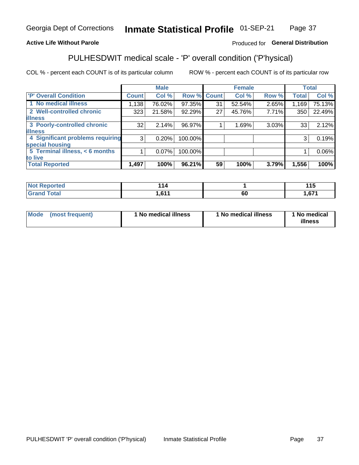#### Inmate Statistical Profile 01-SEP-21 Page 37

### **Active Life Without Parole**

### Produced for General Distribution

# PULHESDWIT medical scale - 'P' overall condition ('P'hysical)

COL % - percent each COUNT is of its particular column

|                                  |                | <b>Male</b> |                    |    | <b>Female</b> |       |              | <b>Total</b> |
|----------------------------------|----------------|-------------|--------------------|----|---------------|-------|--------------|--------------|
| 'P' Overall Condition            | <b>Count</b>   | Col %       | <b>Row % Count</b> |    | Col %         | Row % | <b>Total</b> | Col %        |
| 1 No medical illness             | 1,138          | 76.02%      | 97.35%             | 31 | 52.54%        | 2.65% | 1,169        | 75.13%       |
| 2 Well-controlled chronic        | 323            | 21.58%      | 92.29%             | 27 | 45.76%        | 7.71% | 350          | 22.49%       |
| <b>lillness</b>                  |                |             |                    |    |               |       |              |              |
| 3 Poorly-controlled chronic      | 32             | 2.14%       | 96.97%             |    | 1.69%         | 3.03% | 33           | 2.12%        |
| <b>illness</b>                   |                |             |                    |    |               |       |              |              |
| 4 Significant problems requiring | 3 <sup>1</sup> | 0.20%       | 100.00%            |    |               |       | 3            | 0.19%        |
| special housing                  |                |             |                    |    |               |       |              |              |
| 5 Terminal illness, < 6 months   |                | 0.07%       | 100.00%            |    |               |       |              | 0.06%        |
| to live                          |                |             |                    |    |               |       |              |              |
| <b>Total Reported</b>            | 1,497          | 100%        | 96.21%             | 59 | 100%          | 3.79% | 1,556        | 100%         |

| rtea<br>,<br>.    | 114        |    | 44F<br>∪ו  |
|-------------------|------------|----|------------|
| $F \cap f \cap f$ | <b>C44</b> | υu | <b>671</b> |
| _____             | ו ו ט, ו   |    |            |

|  |  | Mode (most frequent) | 1 No medical illness | 1 No medical illness | 1 No medical<br>illness |
|--|--|----------------------|----------------------|----------------------|-------------------------|
|--|--|----------------------|----------------------|----------------------|-------------------------|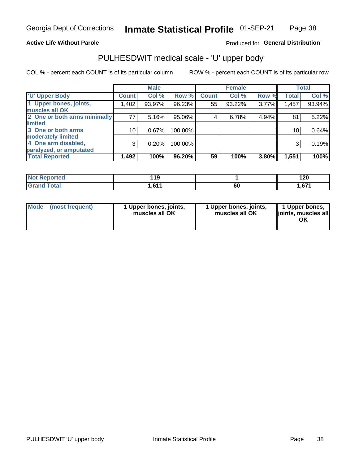### **Active Life Without Parole**

### Produced for General Distribution

# PULHESDWIT medical scale - 'U' upper body

COL % - percent each COUNT is of its particular column

|                              |              | <b>Male</b> |         |              | <b>Female</b> |       |              | <b>Total</b> |
|------------------------------|--------------|-------------|---------|--------------|---------------|-------|--------------|--------------|
| <b>U' Upper Body</b>         | <b>Count</b> | Col %       | Row %   | <b>Count</b> | Col %         | Row % | <b>Total</b> | Col %        |
| 1 Upper bones, joints,       | 1,402        | 93.97%      | 96.23%  | 55           | 93.22%        | 3.77% | 1,457        | 93.94%       |
| muscles all OK               |              |             |         |              |               |       |              |              |
| 2 One or both arms minimally | 77           | 5.16%       | 95.06%  | 4            | 6.78%         | 4.94% | 81           | 5.22%        |
| limited                      |              |             |         |              |               |       |              |              |
| 3 One or both arms           | 10           | 0.67%       | 100.00% |              |               |       | 10           | 0.64%        |
| <b>moderately limited</b>    |              |             |         |              |               |       |              |              |
| 4 One arm disabled,          | 3            | 0.20%       | 100.00% |              |               |       | 3            | 0.19%        |
| paralyzed, or amputated      |              |             |         |              |               |       |              |              |
| <b>Total Reported</b>        | 1,492        | 100%        | 96.20%  | 59           | 100%          | 3.80% | 1,551        | 100%         |

| <b>Not Reported</b>      | 1 A A<br>- 11 |    | חר ו<br>14 U           |
|--------------------------|---------------|----|------------------------|
| <b>Total</b><br>ا الله ا | 644           | ou | <b>671</b><br>I .V / I |

| Mode | (most frequent) | 1 Upper bones, joints,<br>muscles all OK | 1 Upper bones, joints,<br>muscles all OK | 1 Upper bones,<br>ljoints, muscles all<br>OK |
|------|-----------------|------------------------------------------|------------------------------------------|----------------------------------------------|
|------|-----------------|------------------------------------------|------------------------------------------|----------------------------------------------|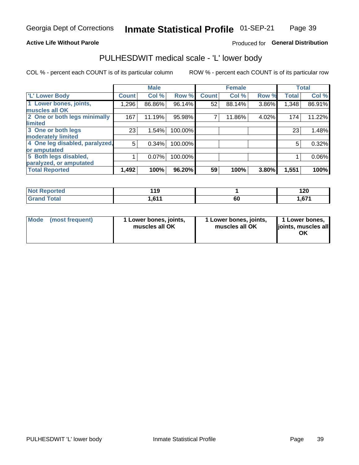### **Active Life Without Parole**

### Produced for General Distribution

# PULHESDWIT medical scale - 'L' lower body

COL % - percent each COUNT is of its particular column

|                                |              | <b>Male</b> |         |              | <b>Female</b> |       |              | <b>Total</b> |
|--------------------------------|--------------|-------------|---------|--------------|---------------|-------|--------------|--------------|
| 'L' Lower Body                 | <b>Count</b> | Col %       | Row %   | <b>Count</b> | Col %         | Row % | <b>Total</b> | Col %        |
| 1 Lower bones, joints,         | ا 296.1      | 86.86%      | 96.14%  | 52           | 88.14%        | 3.86% | 1,348        | 86.91%       |
| muscles all OK                 |              |             |         |              |               |       |              |              |
| 2 One or both legs minimally   | 167          | 11.19%      | 95.98%  |              | 11.86%        | 4.02% | 174          | 11.22%       |
| limited                        |              |             |         |              |               |       |              |              |
| 3 One or both legs             | 23           | 1.54%       | 100.00% |              |               |       | 23           | 1.48%        |
| moderately limited             |              |             |         |              |               |       |              |              |
| 4 One leg disabled, paralyzed, | 5            | 0.34%       | 100.00% |              |               |       | 5            | 0.32%        |
| or amputated                   |              |             |         |              |               |       |              |              |
| 5 Both legs disabled,          |              | 0.07%       | 100.00% |              |               |       |              | 0.06%        |
| paralyzed, or amputated        |              |             |         |              |               |       |              |              |
| <b>Total Reported</b>          | 1,492        | 100%        | 96.20%  | 59           | 100%          | 3.80% | 1,551        | 100%         |

| <b>Not Reported</b> | - 1            |    | ה ה<br>I ZU             |
|---------------------|----------------|----|-------------------------|
| <b>Grand Total</b>  | 644<br>1.V I I | 60 | C <sub>74</sub><br>.011 |

| Mode (most frequent) | I Lower bones, joints,<br>muscles all OK | 1 Lower bones, joints,<br>muscles all OK | 1 Lower bones,<br>joints, muscles all<br>ΟK |
|----------------------|------------------------------------------|------------------------------------------|---------------------------------------------|
|----------------------|------------------------------------------|------------------------------------------|---------------------------------------------|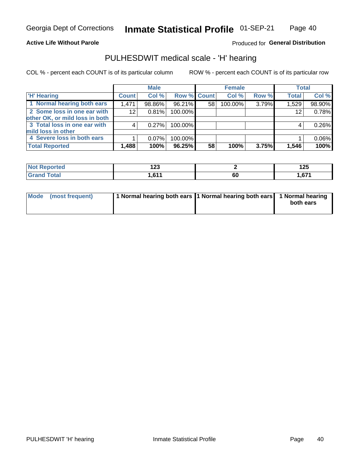#### **Active Life Without Parole**

Produced for General Distribution

# PULHESDWIT medical scale - 'H' hearing

COL % - percent each COUNT is of its particular column

|                                |              | <b>Male</b> |             |    | <b>Female</b> |       | <b>Total</b> |          |
|--------------------------------|--------------|-------------|-------------|----|---------------|-------|--------------|----------|
| <b>H' Hearing</b>              | <b>Count</b> | Col %       | Row % Count |    | Col %         | Row % | <b>Total</b> | Col %    |
| 1 Normal hearing both ears     | 1,471        | 98.86%      | 96.21%      | 58 | 100.00%       | 3.79% | 1,529        | 98.90%   |
| 2 Some loss in one ear with    | 12           | 0.81%       | 100.00%     |    |               |       | 12           | 0.78%    |
| other OK, or mild loss in both |              |             |             |    |               |       |              |          |
| 3 Total loss in one ear with   | 4            | 0.27%       | 100.00%     |    |               |       | 4            | 0.26%    |
| mild loss in other             |              |             |             |    |               |       |              |          |
| 4 Severe loss in both ears     |              | $0.07\%$    | 100.00%     |    |               |       |              | $0.06\%$ |
| <b>Total Reported</b>          | 1,488        | 100%        | 96.25%      | 58 | 100%          | 3.75% | 1,546        | 100%     |

| ported<br>NOT | ^^^<br>12J<br>--- |    | 1つに<br>12J |
|---------------|-------------------|----|------------|
| $\sim$ 10     | CA                | 60 | $\sim$     |
| _____         | . <b>,</b> .      |    |            |

| Mode (most frequent) | 1 Normal hearing both ears 1 Normal hearing both ears 1 Normal hearing | both ears |
|----------------------|------------------------------------------------------------------------|-----------|
|                      |                                                                        |           |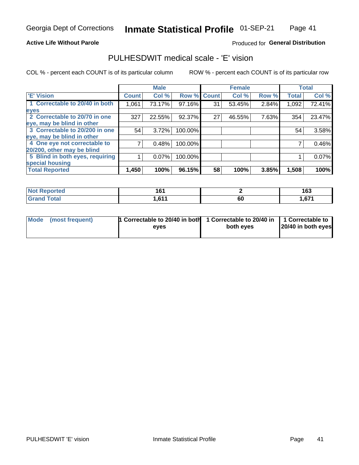### **Active Life Without Parole**

### Produced for General Distribution

# PULHESDWIT medical scale - 'E' vision

COL % - percent each COUNT is of its particular column

|                                 |              | <b>Male</b> |         |              | <b>Female</b> |       |              | <b>Total</b> |
|---------------------------------|--------------|-------------|---------|--------------|---------------|-------|--------------|--------------|
| <b>E' Vision</b>                | <b>Count</b> | Col %       | Row %   | <b>Count</b> | Col %         | Row % | <b>Total</b> | Col %        |
| 1 Correctable to 20/40 in both  | 1,061        | 73.17%      | 97.16%  | 31           | 53.45%        | 2.84% | 1,092        | 72.41%       |
| eyes                            |              |             |         |              |               |       |              |              |
| 2 Correctable to 20/70 in one   | 327          | 22.55%      | 92.37%  | 27           | 46.55%        | 7.63% | 354          | 23.47%       |
| eye, may be blind in other      |              |             |         |              |               |       |              |              |
| 3 Correctable to 20/200 in one  | 54           | 3.72%       | 100.00% |              |               |       | 54           | 3.58%        |
| eye, may be blind in other      |              |             |         |              |               |       |              |              |
| 4 One eye not correctable to    |              | 0.48%       | 100.00% |              |               |       |              | 0.46%        |
| 20/200, other may be blind      |              |             |         |              |               |       |              |              |
| 5 Blind in both eyes, requiring |              | 0.07%       | 100.00% |              |               |       |              | 0.07%        |
| special housing                 |              |             |         |              |               |       |              |              |
| <b>Total Reported</b>           | 1,450        | 100%        | 96.15%  | 58           | 100%          | 3.85% | 1,508        | 100%         |

| <b>Reported</b><br><b>NOT</b> | 1 G 1<br>ושו<br>$\sim$ $\sim$ |    | 163             |
|-------------------------------|-------------------------------|----|-----------------|
| <b>Total</b>                  | <b>C44</b><br>ט, ו            | 60 | C <sub>74</sub> |

| Mode (most frequent) | 1 Correctable to 20/40 in both<br>eves | 1 Correctable to 20/40 in   1 Correctable to  <br>both eyes | 20/40 in both eyes |  |
|----------------------|----------------------------------------|-------------------------------------------------------------|--------------------|--|
|                      |                                        |                                                             |                    |  |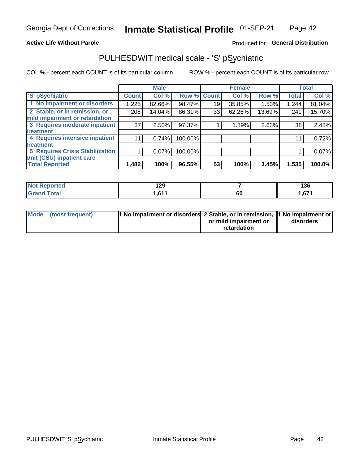### **Active Life Without Parole**

### Produced for General Distribution

# PULHESDWIT medical scale - 'S' pSychiatric

COL % - percent each COUNT is of its particular column

|                                        |              | <b>Male</b> |                    |    | <b>Female</b> |        |              | <b>Total</b> |
|----------------------------------------|--------------|-------------|--------------------|----|---------------|--------|--------------|--------------|
| 'S' pSychiatric                        | <b>Count</b> | Col %       | <b>Row % Count</b> |    | Col %         | Row %  | <b>Total</b> | Col %        |
| 1 No impairment or disorders           | 1,225        | 82.66%      | 98.47%             | 19 | 35.85%        | 1.53%  | 1,244        | 81.04%       |
| 2 Stable, or in remission, or          | 208          | 14.04%      | 86.31%             | 33 | 62.26%        | 13.69% | 241          | 15.70%       |
| mild impairment or retardation         |              |             |                    |    |               |        |              |              |
| 3 Requires moderate inpatient          | 37           | $2.50\%$    | 97.37%             |    | 1.89%         | 2.63%  | 38           | 2.48%        |
| treatment                              |              |             |                    |    |               |        |              |              |
| 4 Requires intensive inpatient         | 11           | 0.74%       | 100.00%            |    |               |        | 11           | 0.72%        |
| treatment                              |              |             |                    |    |               |        |              |              |
| <b>5 Requires Crisis Stabilization</b> |              | $0.07\%$    | 100.00%            |    |               |        |              | 0.07%        |
| Unit (CSU) inpatient care              |              |             |                    |    |               |        |              |              |
| <b>Total Reported</b>                  | 1,482        | 100%        | 96.55%             | 53 | 100%          | 3.45%  | 1,535        | 100.0%       |

| <b>Not Reported</b>                | 1 20<br>1 L J         |    | 136  |
|------------------------------------|-----------------------|----|------|
| <b>Total</b><br>.Gran <sub>'</sub> | <b>C11</b><br>I I U I | 60 | ,671 |

| Mode (most frequent) | 1 No impairment or disorders 2 Stable, or in remission, 11 No impairment or |                       |           |
|----------------------|-----------------------------------------------------------------------------|-----------------------|-----------|
|                      |                                                                             | or mild impairment or | disorders |
|                      |                                                                             | retardation           |           |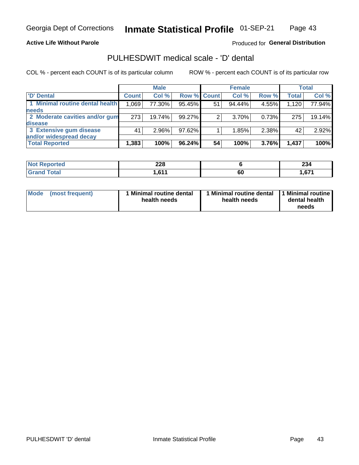**Active Life Without Parole** 

Produced for General Distribution

# PULHESDWIT medical scale - 'D' dental

COL % - percent each COUNT is of its particular column

|                                 | <b>Male</b>  |          | <b>Female</b> |    |        | <b>Total</b> |              |        |
|---------------------------------|--------------|----------|---------------|----|--------|--------------|--------------|--------|
| 'D' Dental                      | <b>Count</b> | Col %    | Row % Count   |    | Col %  | Row %        | <b>Total</b> | Col %  |
| 1 Minimal routine dental health | 1,069        | 77.30%   | 95.45%        | 51 | 94.44% | 4.55%        | 1,120        | 77.94% |
| <b>needs</b>                    |              |          |               |    |        |              |              |        |
| 2 Moderate cavities and/or gum  | 273          | 19.74%   | 99.27%        |    | 3.70%  | 0.73%        | 275          | 19.14% |
| disease                         |              |          |               |    |        |              |              |        |
| 3 Extensive gum disease         | 41           | $2.96\%$ | 97.62%        |    | 1.85%  | 2.38%        | 42           | 2.92%  |
| and/or widespread decay         |              |          |               |    |        |              |              |        |
| <b>Total Reported</b>           | 1,383        | 100%     | 96.24%        | 54 | 100%   | 3.76%        | 1,437        | 100%   |

| prτea<br>NOT B<br> | つつロ<br>ZZO      |    | 0.2<br>ZJ4 |
|--------------------|-----------------|----|------------|
| <b>Total</b>       | <b>C44</b><br>. | 60 | $\sim$     |

| <b>Mode</b><br>(most frequent) | <b>Minimal routine dental</b><br>health needs | 1 Minimal routine dental<br>health needs | 1 Minimal routine<br>dental health<br>needs |
|--------------------------------|-----------------------------------------------|------------------------------------------|---------------------------------------------|
|--------------------------------|-----------------------------------------------|------------------------------------------|---------------------------------------------|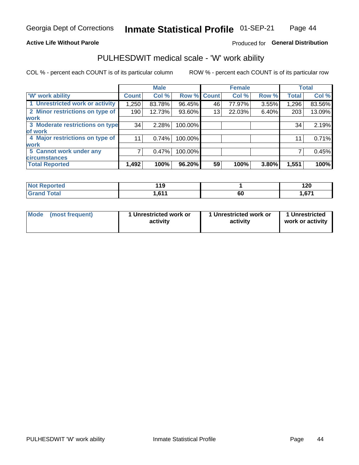### **Active Life Without Parole**

### Produced for General Distribution

# PULHESDWIT medical scale - 'W' work ability

COL % - percent each COUNT is of its particular column

|                                 |                    | <b>Male</b> |         |             | <b>Female</b> |       |              | <b>Total</b> |
|---------------------------------|--------------------|-------------|---------|-------------|---------------|-------|--------------|--------------|
| <b>W' work ability</b>          | Count <sup>'</sup> | Col %       |         | Row % Count | Col %         | Row % | <b>Total</b> | Col %        |
| 1 Unrestricted work or activity | 1,250              | 83.78%      | 96.45%  | 46          | 77.97%        | 3.55% | 1,296        | 83.56%       |
| 2 Minor restrictions on type of | 190                | 12.73%      | 93.60%  | 13          | 22.03%        | 6.40% | 203          | 13.09%       |
| <b>work</b>                     |                    |             |         |             |               |       |              |              |
| 3 Moderate restrictions on type | 34                 | 2.28%       | 100.00% |             |               |       | 34           | 2.19%        |
| lof work                        |                    |             |         |             |               |       |              |              |
| 4 Major restrictions on type of | 11                 | 0.74%       | 100.00% |             |               |       | 11           | 0.71%        |
| <b>work</b>                     |                    |             |         |             |               |       |              |              |
| 5 Cannot work under any         |                    | 0.47%       | 100.00% |             |               |       |              | 0.45%        |
| <b>circumstances</b>            |                    |             |         |             |               |       |              |              |
| <b>Total Reported</b>           | 1,492              | 100%        | 96.20%  | 59          | 100%          | 3.80% | 1,551        | 100%         |

| <b>Not Reported</b> | 440<br><u> 1 J</u> |    | חר ו<br>1 Z U |
|---------------------|--------------------|----|---------------|
| <b>Total</b>        | <b>C44</b>         | 60 | C74           |
| Gran <sup>2</sup>   | U I                |    | .01           |

| Mode            | 1 Unrestricted work or | 1 Unrestricted work or | 1 Unrestricted   |
|-----------------|------------------------|------------------------|------------------|
| (most frequent) | activity               | activity               | work or activity |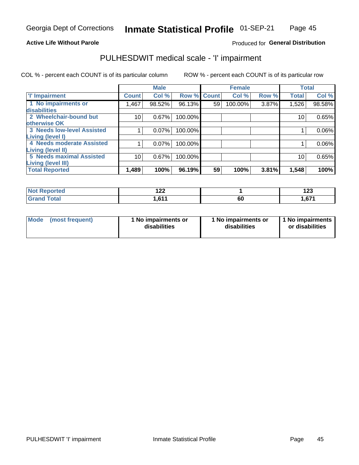### **Active Life Without Parole**

### Produced for General Distribution

# PULHESDWIT medical scale - 'I' impairment

COL % - percent each COUNT is of its particular column ROW % - percent each COUNT is of its particular row

|                                   |              | <b>Male</b> |             |    | <b>Female</b> |       |              | <b>Total</b> |
|-----------------------------------|--------------|-------------|-------------|----|---------------|-------|--------------|--------------|
| <b>T' Impairment</b>              | <b>Count</b> | Col %       | Row % Count |    | Col %         | Row % | <b>Total</b> | Col %        |
| 1 No impairments or               | 1,467        | 98.52%      | 96.13%      | 59 | 100.00%       | 3.87% | 1,526        | 98.58%       |
| <b>disabilities</b>               |              |             |             |    |               |       |              |              |
| 2 Wheelchair-bound but            | 10           | 0.67%       | 100.00%     |    |               |       | 10           | 0.65%        |
| otherwise OK                      |              |             |             |    |               |       |              |              |
| <b>3 Needs low-level Assisted</b> |              | 0.07%       | 100.00%     |    |               |       |              | $0.06\%$     |
| Living (level I)                  |              |             |             |    |               |       |              |              |
| 4 Needs moderate Assisted         |              | 0.07%       | 100.00%     |    |               |       |              | $0.06\%$     |
| <b>Living (level II)</b>          |              |             |             |    |               |       |              |              |
| <b>5 Needs maximal Assisted</b>   | 10           | 0.67%       | 100.00%     |    |               |       | 10           | 0.65%        |
| <b>Living (level III)</b>         |              |             |             |    |               |       |              |              |
| <b>Total Reported</b>             | 1,489        | 100%        | 96.19%      | 59 | 100%          | 3.81% | 1,548        | 100%         |

| orted       | ה הו<br>1 Z Z |    | 409<br>14J |
|-------------|---------------|----|------------|
| <b>otal</b> | .611          | ου | 671, ا     |

| <b>Mode</b> | (most frequent) | <b>No impairments or</b><br>disabilities | 1 No impairments or<br>disabilities | 1 No impairments<br>or disabilities |
|-------------|-----------------|------------------------------------------|-------------------------------------|-------------------------------------|
|-------------|-----------------|------------------------------------------|-------------------------------------|-------------------------------------|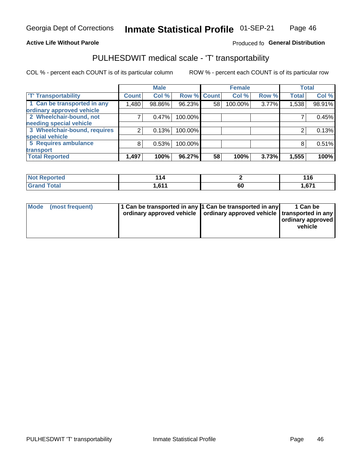### **Active Life Without Parole**

### Produced fo General Distribution

# PULHESDWIT medical scale - 'T' transportability

COL % - percent each COUNT is of its particular column

|                              |              | <b>Male</b> |             |    | <b>Female</b> |       |              | <b>Total</b> |
|------------------------------|--------------|-------------|-------------|----|---------------|-------|--------------|--------------|
| <b>T' Transportability</b>   | <b>Count</b> | Col %       | Row % Count |    | Col %         | Row % | <b>Total</b> | Col %        |
| 1 Can be transported in any  | 1,480        | 98.86%      | 96.23%      | 58 | 100.00%       | 3.77% | 1,538        | 98.91%       |
| ordinary approved vehicle    |              |             |             |    |               |       |              |              |
| 2 Wheelchair-bound, not      |              | 0.47%       | 100.00%     |    |               |       |              | 0.45%        |
| needing special vehicle      |              |             |             |    |               |       |              |              |
| 3 Wheelchair-bound, requires | 2            | 0.13%       | 100.00%     |    |               |       |              | 0.13%        |
| special vehicle              |              |             |             |    |               |       |              |              |
| 5 Requires ambulance         | 8            | 0.53%       | 100.00%     |    |               |       |              | 0.51%        |
| transport                    |              |             |             |    |               |       |              |              |
| <b>Total Reported</b>        | 1,497        | 100%        | 96.27%      | 58 | 100%          | 3.73% | 1,555        | 100%         |

| <b>eported</b> |      |    | 116   |
|----------------|------|----|-------|
| <b>Total</b>   | .611 | οu | 1,671 |

| <b>Mode</b> | (most frequent) | 1 Can be transported in any 1 Can be transported in any | ordinary approved vehicle   ordinary approved vehicle   transported in any | 1 Can be<br>  ordinary approved  <br>vehicle |
|-------------|-----------------|---------------------------------------------------------|----------------------------------------------------------------------------|----------------------------------------------|
|-------------|-----------------|---------------------------------------------------------|----------------------------------------------------------------------------|----------------------------------------------|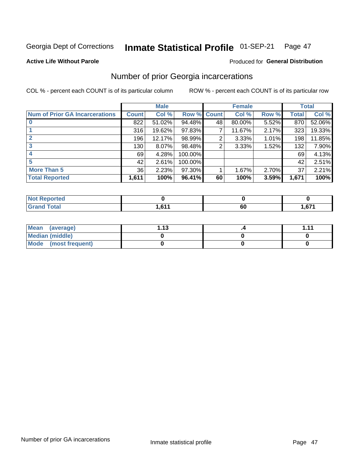#### Inmate Statistical Profile 01-SEP-21 Page 47

#### **Active Life Without Parole**

### **Produced for General Distribution**

# Number of prior Georgia incarcerations

COL % - percent each COUNT is of its particular column

|                                       |              | <b>Male</b> |           |              | <b>Female</b> |       |       | <b>Total</b> |
|---------------------------------------|--------------|-------------|-----------|--------------|---------------|-------|-------|--------------|
| <b>Num of Prior GA Incarcerations</b> | <b>Count</b> | Col %       | Row %     | <b>Count</b> | Col %         | Row % | Total | Col %        |
|                                       | 822          | 51.02%      | 94.48%    | 48           | 80.00%        | 5.52% | 870   | 52.06%       |
|                                       | 316          | 19.62%      | 97.83%    |              | 11.67%        | 2.17% | 323   | 19.33%       |
|                                       | 196          | 12.17%      | 98.99%    | 2            | 3.33%         | 1.01% | 198   | 11.85%       |
| 3                                     | 130          | 8.07%       | 98.48%    | 2            | 3.33%         | 1.52% | 132   | 7.90%        |
|                                       | 69           | 4.28%       | 100.00%   |              |               |       | 69    | 4.13%        |
| 5                                     | 42           | 2.61%       | 100.00%   |              |               |       | 42    | 2.51%        |
| <b>More Than 5</b>                    | 36           | 2.23%       | $97.30\%$ |              | 1.67%         | 2.70% | 37    | 2.21%        |
| <b>Total Reported</b>                 | 1,611        | 100%        | 96.41%    | 60           | 100%          | 3.59% | 1,671 | 100%         |

| rted                         |       |    |                   |
|------------------------------|-------|----|-------------------|
| <b>Total</b><br><b>C.org</b> | 0.000 | 60 | $\sim$<br>. . v . |

| Mean (average)       | 1 1 2 | 4444 |
|----------------------|-------|------|
| Median (middle)      |       |      |
| Mode (most frequent) |       |      |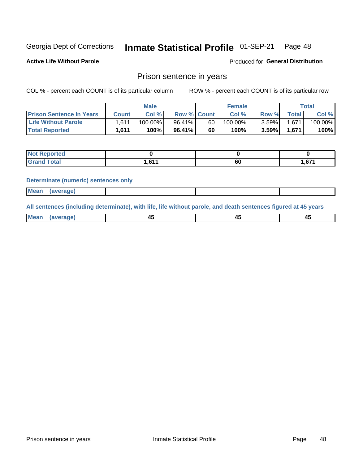#### **Inmate Statistical Profile 01-SEP-21** Page 48

**Active Life Without Parole** 

Produced for General Distribution

### Prison sentence in years

COL % - percent each COUNT is of its particular column

ROW % - percent each COUNT is of its particular row

|                                 |                    | <b>Male</b> |                    |    | <b>Female</b> |          |       | Total   |
|---------------------------------|--------------------|-------------|--------------------|----|---------------|----------|-------|---------|
| <b>Prison Sentence In Years</b> | Count l            | Col %       | <b>Row % Count</b> |    | Col %         | Row %    | Total | Col %   |
| <b>Life Without Parole</b>      | 1.611 <sub>1</sub> | $100.00\%$  | 96.41%             | 60 | $100.00\%$    | $3.59\%$ | 1.671 | 100.00% |
| <b>Total Reported</b>           | 1,611              | 100%        | $96.41\%$          | 60 | 100%          | 3.59%    | 1,671 | 100%    |

| <b>Not Reported</b> |                 |           |      |
|---------------------|-----------------|-----------|------|
| <b>c</b> otal       | <b>C11</b><br>. | r r<br>υυ | ,671 |

#### **Determinate (numeric) sentences only**

| <b>Mean</b><br>(average)<br> |  |  |
|------------------------------|--|--|
|------------------------------|--|--|

All sentences (including determinate), with life, life without parole, and death sentences figured at 45 years

| Me<br>.<br> | -- | -- |  |
|-------------|----|----|--|
|             |    |    |  |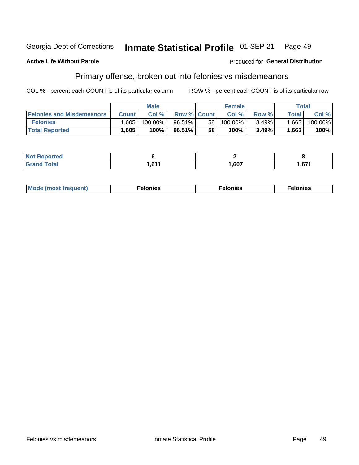#### Inmate Statistical Profile 01-SEP-21 **Georgia Dept of Corrections** Page 49

#### **Active Life Without Parole**

#### Produced for General Distribution

# Primary offense, broken out into felonies vs misdemeanors

COL % - percent each COUNT is of its particular column

|                                  |              | <b>Male</b> |                    |    | <b>Female</b> |       |         | Total   |
|----------------------------------|--------------|-------------|--------------------|----|---------------|-------|---------|---------|
| <b>Felonies and Misdemeanors</b> | <b>Count</b> | Col%        | <b>Row % Count</b> |    | Col%          | Row % | Total i | Col %   |
| <b>Felonies</b>                  | .605         | 100.00%     | 96.51%             | 58 | 100.00%       | 3.49% | 1,663   | 100.00% |
| <b>Total Reported</b>            | .605         | $100\%$     | 96.51%             | 58 | 100%          | 3.49% | .663    | 100%    |

| <b>Not Reported</b> |                 |      |        |
|---------------------|-----------------|------|--------|
| <b>Total</b>        | C <sub>44</sub> | ,607 | $\sim$ |
| <b>Grand</b>        | U I I           |      | v.     |

| <b>Mode</b><br>frequent)<br>nies<br>≧ (most tr.<br>. | onies<br>. | lonies<br>ею<br>____ |
|------------------------------------------------------|------------|----------------------|
|------------------------------------------------------|------------|----------------------|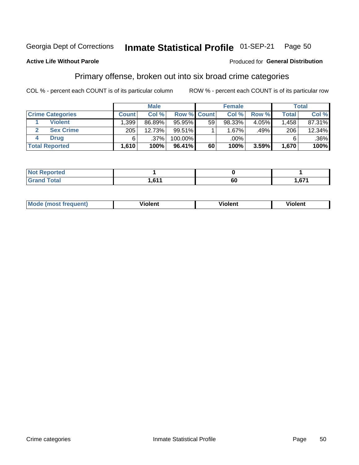#### Inmate Statistical Profile 01-SEP-21 Page 50

### **Active Life Without Parole**

#### Produced for General Distribution

# Primary offense, broken out into six broad crime categories

COL % - percent each COUNT is of its particular column

|                         |              | <b>Male</b> |             |    | <b>Female</b> |        |              | Total   |
|-------------------------|--------------|-------------|-------------|----|---------------|--------|--------------|---------|
| <b>Crime Categories</b> | <b>Count</b> | Col%        | Row % Count |    | Col %         | Row %  | <b>Total</b> | Col %   |
| <b>Violent</b>          | .399         | 86.89%      | 95.95%      | 59 | 98.33%        | 4.05%  | 1,458        | 87.31%  |
| <b>Sex Crime</b>        | 205          | 12.73%      | $99.51\%$   |    | $1.67\%$      | .49% I | 206          | 12.34%  |
| <b>Drug</b>             | 6            | $.37\%$     | 100.00%     |    | .00%          |        | 6            | $.36\%$ |
| <b>Total Reported</b>   | 1,610        | 100%        | 96.41%      | 60 | 100%          | 3.59%  | 1,670        | 100%    |

| _____ | $\sim$ $\sim$<br>- | οι | $\sim$<br>-- - |
|-------|--------------------|----|----------------|

| Mo<br>auenti | --<br>iolent | <br>olent<br>ли | <br>วlent |
|--------------|--------------|-----------------|-----------|
|              |              |                 |           |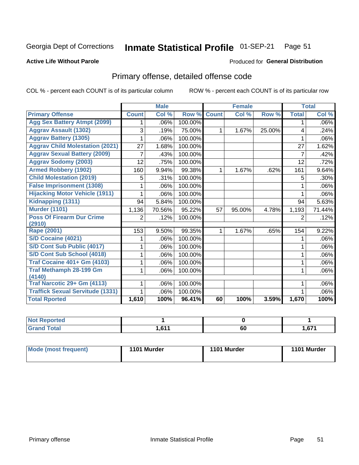#### Inmate Statistical Profile 01-SEP-21 Page 51

#### **Active Life Without Parole**

### **Produced for General Distribution**

# Primary offense, detailed offense code

COL % - percent each COUNT is of its particular column

|                                         |                | <b>Male</b> |         |              | <b>Female</b> |        |                | <b>Total</b> |
|-----------------------------------------|----------------|-------------|---------|--------------|---------------|--------|----------------|--------------|
| <b>Primary Offense</b>                  | <b>Count</b>   | Col %       | Row %   | <b>Count</b> | Col %         | Row %  | <b>Total</b>   | Col %        |
| <b>Agg Sex Battery Atmpt (2099)</b>     | 1              | .06%        | 100.00% |              |               |        | 1              | $.06\%$      |
| <b>Aggrav Assault (1302)</b>            | 3              | .19%        | 75.00%  | $\mathbf 1$  | 1.67%         | 25.00% | 4              | .24%         |
| <b>Aggrav Battery (1305)</b>            |                | .06%        | 100.00% |              |               |        |                | $.06\%$      |
| <b>Aggrav Child Molestation (2021)</b>  | 27             | 1.68%       | 100.00% |              |               |        | 27             | 1.62%        |
| <b>Aggrav Sexual Battery (2009)</b>     | 7              | .43%        | 100.00% |              |               |        | 7              | .42%         |
| <b>Aggrav Sodomy (2003)</b>             | 12             | .75%        | 100.00% |              |               |        | 12             | .72%         |
| <b>Armed Robbery (1902)</b>             | 160            | 9.94%       | 99.38%  | 1.           | 1.67%         | .62%   | 161            | 9.64%        |
| <b>Child Molestation (2019)</b>         | 5              | .31%        | 100.00% |              |               |        | 5              | .30%         |
| <b>False Imprisonment (1308)</b>        |                | .06%        | 100.00% |              |               |        | 1              | .06%         |
| <b>Hijacking Motor Vehicle (1911)</b>   |                | .06%        | 100.00% |              |               |        |                | .06%         |
| Kidnapping (1311)                       | 94             | 5.84%       | 100.00% |              |               |        | 94             | 5.63%        |
| <b>Murder (1101)</b>                    | 1,136          | 70.56%      | 95.22%  | 57           | 95.00%        | 4.78%  | 1,193          | 71.44%       |
| <b>Poss Of Firearm Dur Crime</b>        | $\overline{2}$ | .12%        | 100.00% |              |               |        | $\overline{2}$ | .12%         |
| (2910)                                  |                |             |         |              |               |        |                |              |
| Rape (2001)                             | 153            | 9.50%       | 99.35%  | 1.           | 1.67%         | .65%   | 154            | 9.22%        |
| S/D Cocaine (4021)                      |                | .06%        | 100.00% |              |               |        | 1              | .06%         |
| S/D Cont Sub Public (4017)              |                | .06%        | 100.00% |              |               |        |                | $.06\%$      |
| S/D Cont Sub School (4018)              | 1              | .06%        | 100.00% |              |               |        | 1              | $.06\%$      |
| <b>Traf Cocaine 401+ Gm (4103)</b>      |                | .06%        | 100.00% |              |               |        | 1              | $.06\%$      |
| <b>Traf Methamph 28-199 Gm</b>          | 1              | .06%        | 100.00% |              |               |        | 1              | $.06\%$      |
| (4140)                                  |                |             |         |              |               |        |                |              |
| Traf Narcotic 29+ Gm (4113)             |                | .06%        | 100.00% |              |               |        |                | .06%         |
| <b>Traffick Sexual Servitude (1331)</b> | 1.             | .06%        | 100.00% |              |               |        |                | .06%         |
| <b>Total Rported</b>                    | 1,610          | 100%        | 96.41%  | 60           | 100%          | 3.59%  | 1,670          | 100%         |

| N <sub>of</sub><br><b>Enorted</b><br>керс |            |     |       |
|-------------------------------------------|------------|-----|-------|
| <b>Total</b>                              | <b>CAA</b> | r n | 1,671 |
| Cron                                      | .          | οu  |       |

| Mode (most frequent) | 1101 Murder | 1101 Murder | 1101 Murder |
|----------------------|-------------|-------------|-------------|
|----------------------|-------------|-------------|-------------|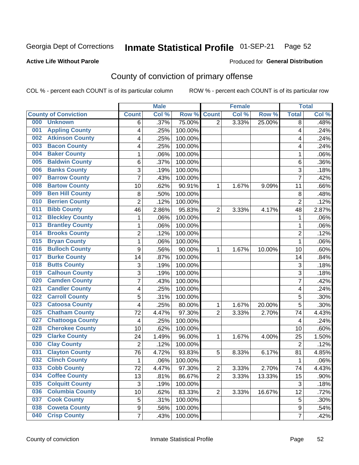#### Inmate Statistical Profile 01-SEP-21 Page 52

### **Active Life Without Parole**

#### Produced for General Distribution

# County of conviction of primary offense

COL % - percent each COUNT is of its particular column

|                                |                         | <b>Male</b> |         |                | <b>Female</b> |        |                | <b>Total</b> |
|--------------------------------|-------------------------|-------------|---------|----------------|---------------|--------|----------------|--------------|
| <b>County of Conviction</b>    | <b>Count</b>            | Col %       | Row %   | <b>Count</b>   | Col %         | Row %  | <b>Total</b>   | Col %        |
| 000<br><b>Unknown</b>          | 6                       | .37%        | 75.00%  | $\overline{2}$ | 3.33%         | 25.00% | 8              | .48%         |
| <b>Appling County</b><br>001   | 4                       | .25%        | 100.00% |                |               |        | 4              | .24%         |
| <b>Atkinson County</b><br>002  | 4                       | .25%        | 100.00% |                |               |        | 4              | .24%         |
| <b>Bacon County</b><br>003     | 4                       | .25%        | 100.00% |                |               |        | 4              | .24%         |
| <b>Baker County</b><br>004     | 1                       | .06%        | 100.00% |                |               |        | 1              | .06%         |
| <b>Baldwin County</b><br>005   | 6                       | .37%        | 100.00% |                |               |        | 6              | .36%         |
| <b>Banks County</b><br>006     | 3                       | .19%        | 100.00% |                |               |        | 3              | .18%         |
| <b>Barrow County</b><br>007    | $\overline{7}$          | .43%        | 100.00% |                |               |        | $\overline{7}$ | .42%         |
| <b>Bartow County</b><br>008    | 10                      | .62%        | 90.91%  | 1              | 1.67%         | 9.09%  | 11             | .66%         |
| <b>Ben Hill County</b><br>009  | 8                       | .50%        | 100.00% |                |               |        | 8              | .48%         |
| <b>Berrien County</b><br>010   | $\overline{c}$          | .12%        | 100.00% |                |               |        | $\overline{2}$ | .12%         |
| <b>Bibb County</b><br>011      | 46                      | 2.86%       | 95.83%  | $\overline{2}$ | 3.33%         | 4.17%  | 48             | 2.87%        |
| <b>Bleckley County</b><br>012  | 1                       | .06%        | 100.00% |                |               |        | 1              | .06%         |
| <b>Brantley County</b><br>013  | 1                       | .06%        | 100.00% |                |               |        | 1              | .06%         |
| <b>Brooks County</b><br>014    | $\overline{c}$          | .12%        | 100.00% |                |               |        | $\overline{2}$ | .12%         |
| <b>Bryan County</b><br>015     | 1                       | .06%        | 100.00% |                |               |        | 1              | .06%         |
| <b>Bulloch County</b><br>016   | 9                       | .56%        | 90.00%  | 1              | 1.67%         | 10.00% | 10             | .60%         |
| <b>Burke County</b><br>017     | 14                      | .87%        | 100.00% |                |               |        | 14             | .84%         |
| <b>Butts County</b><br>018     | 3                       | .19%        | 100.00% |                |               |        | 3              | .18%         |
| <b>Calhoun County</b><br>019   | 3                       | .19%        | 100.00% |                |               |        | 3              | .18%         |
| <b>Camden County</b><br>020    | $\overline{7}$          | .43%        | 100.00% |                |               |        | $\overline{7}$ | .42%         |
| <b>Candler County</b><br>021   | 4                       | .25%        | 100.00% |                |               |        | 4              | .24%         |
| <b>Carroll County</b><br>022   | 5                       | .31%        | 100.00% |                |               |        | 5              | .30%         |
| <b>Catoosa County</b><br>023   | 4                       | .25%        | 80.00%  | 1              | 1.67%         | 20.00% | 5              | .30%         |
| <b>Chatham County</b><br>025   | 72                      | 4.47%       | 97.30%  | $\overline{2}$ | 3.33%         | 2.70%  | 74             | 4.43%        |
| <b>Chattooga County</b><br>027 | $\overline{\mathbf{4}}$ | .25%        | 100.00% |                |               |        | 4              | .24%         |
| <b>Cherokee County</b><br>028  | 10                      | .62%        | 100.00% |                |               |        | 10             | .60%         |
| <b>Clarke County</b><br>029    | 24                      | 1.49%       | 96.00%  | 1              | 1.67%         | 4.00%  | 25             | 1.50%        |
| <b>Clay County</b><br>030      | $\overline{2}$          | .12%        | 100.00% |                |               |        | $\overline{2}$ | .12%         |
| <b>Clayton County</b><br>031   | 76                      | 4.72%       | 93.83%  | 5              | 8.33%         | 6.17%  | 81             | 4.85%        |
| <b>Clinch County</b><br>032    | 1                       | .06%        | 100.00% |                |               |        | 1              | .06%         |
| 033<br><b>Cobb County</b>      | 72                      | 4.47%       | 97.30%  | $\overline{2}$ | 3.33%         | 2.70%  | 74             | 4.43%        |
| <b>Coffee County</b><br>034    | 13                      | .81%        | 86.67%  | $\overline{2}$ | 3.33%         | 13.33% | 15             | .90%         |
| <b>Colquitt County</b><br>035  | $\sqrt{3}$              | .19%        | 100.00% |                |               |        | 3              | .18%         |
| <b>Columbia County</b><br>036  | 10                      | .62%        | 83.33%  | $\overline{2}$ | 3.33%         | 16.67% | 12             | .72%         |
| <b>Cook County</b><br>037      | 5                       | .31%        | 100.00% |                |               |        | 5              | .30%         |
| <b>Coweta County</b><br>038    | 9                       | .56%        | 100.00% |                |               |        | 9              | .54%         |
| <b>Crisp County</b><br>040     | $\overline{7}$          | .43%        | 100.00% |                |               |        | $\overline{7}$ | .42%         |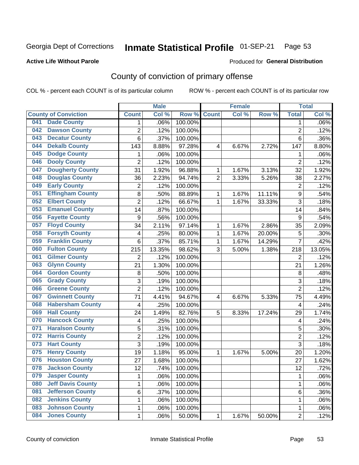#### Inmate Statistical Profile 01-SEP-21 Page 53

### **Active Life Without Parole**

#### Produced for General Distribution

# County of conviction of primary offense

COL % - percent each COUNT is of its particular column

|     |                             |                  | <b>Male</b> |         |                | <b>Female</b> |        | <b>Total</b>   |        |
|-----|-----------------------------|------------------|-------------|---------|----------------|---------------|--------|----------------|--------|
|     | <b>County of Conviction</b> | <b>Count</b>     | Col %       | Row %   | <b>Count</b>   | Col %         | Row %  | <b>Total</b>   | Col %  |
| 041 | <b>Dade County</b>          | 1                | .06%        | 100.00% |                |               |        | 1              | .06%   |
| 042 | <b>Dawson County</b>        | $\overline{2}$   | .12%        | 100.00% |                |               |        | $\overline{2}$ | .12%   |
| 043 | <b>Decatur County</b>       | 6                | .37%        | 100.00% |                |               |        | 6              | .36%   |
| 044 | <b>Dekalb County</b>        | 143              | 8.88%       | 97.28%  | 4              | 6.67%         | 2.72%  | 147            | 8.80%  |
| 045 | <b>Dodge County</b>         | 1                | .06%        | 100.00% |                |               |        | 1              | .06%   |
| 046 | <b>Dooly County</b>         | $\overline{2}$   | .12%        | 100.00% |                |               |        | $\overline{2}$ | .12%   |
| 047 | <b>Dougherty County</b>     | 31               | 1.92%       | 96.88%  | 1              | 1.67%         | 3.13%  | 32             | 1.92%  |
| 048 | <b>Douglas County</b>       | 36               | 2.23%       | 94.74%  | $\overline{2}$ | 3.33%         | 5.26%  | 38             | 2.27%  |
| 049 | <b>Early County</b>         | $\overline{c}$   | .12%        | 100.00% |                |               |        | $\overline{2}$ | .12%   |
| 051 | <b>Effingham County</b>     | 8                | .50%        | 88.89%  | 1              | 1.67%         | 11.11% | 9              | .54%   |
| 052 | <b>Elbert County</b>        | $\overline{2}$   | .12%        | 66.67%  | 1              | 1.67%         | 33.33% | 3              | .18%   |
| 053 | <b>Emanuel County</b>       | 14               | .87%        | 100.00% |                |               |        | 14             | .84%   |
| 056 | <b>Fayette County</b>       | $\boldsymbol{9}$ | .56%        | 100.00% |                |               |        | 9              | .54%   |
| 057 | <b>Floyd County</b>         | 34               | 2.11%       | 97.14%  | 1              | 1.67%         | 2.86%  | 35             | 2.09%  |
| 058 | <b>Forsyth County</b>       | 4                | .25%        | 80.00%  | 1              | 1.67%         | 20.00% | 5              | .30%   |
| 059 | <b>Franklin County</b>      | 6                | .37%        | 85.71%  | 1              | 1.67%         | 14.29% | 7              | .42%   |
| 060 | <b>Fulton County</b>        | 215              | 13.35%      | 98.62%  | 3              | 5.00%         | 1.38%  | 218            | 13.05% |
| 061 | <b>Gilmer County</b>        | $\overline{2}$   | .12%        | 100.00% |                |               |        | $\overline{2}$ | .12%   |
| 063 | <b>Glynn County</b>         | 21               | 1.30%       | 100.00% |                |               |        | 21             | 1.26%  |
| 064 | <b>Gordon County</b>        | 8                | .50%        | 100.00% |                |               |        | 8              | .48%   |
| 065 | <b>Grady County</b>         | 3                | .19%        | 100.00% |                |               |        | 3              | .18%   |
| 066 | <b>Greene County</b>        | $\overline{2}$   | .12%        | 100.00% |                |               |        | $\overline{2}$ | .12%   |
| 067 | <b>Gwinnett County</b>      | 71               | 4.41%       | 94.67%  | 4              | 6.67%         | 5.33%  | 75             | 4.49%  |
| 068 | <b>Habersham County</b>     | $\overline{4}$   | .25%        | 100.00% |                |               |        | 4              | .24%   |
| 069 | <b>Hall County</b>          | 24               | 1.49%       | 82.76%  | 5              | 8.33%         | 17.24% | 29             | 1.74%  |
| 070 | <b>Hancock County</b>       | 4                | .25%        | 100.00% |                |               |        | 4              | .24%   |
| 071 | <b>Haralson County</b>      | 5                | .31%        | 100.00% |                |               |        | 5              | .30%   |
| 072 | <b>Harris County</b>        | $\overline{2}$   | .12%        | 100.00% |                |               |        | $\overline{2}$ | .12%   |
| 073 | <b>Hart County</b>          | 3                | .19%        | 100.00% |                |               |        | 3              | .18%   |
| 075 | <b>Henry County</b>         | 19               | 1.18%       | 95.00%  | 1              | 1.67%         | 5.00%  | 20             | 1.20%  |
| 076 | <b>Houston County</b>       | 27               | 1.68%       | 100.00% |                |               |        | 27             | 1.62%  |
| 078 | <b>Jackson County</b>       | 12               | .74%        | 100.00% |                |               |        | 12             | .72%   |
| 079 | <b>Jasper County</b>        | $\mathbf{1}$     | .06%        | 100.00% |                |               |        | $\mathbf{1}$   | .06%   |
| 080 | <b>Jeff Davis County</b>    | 1                | .06%        | 100.00% |                |               |        | $\mathbf{1}$   | .06%   |
| 081 | <b>Jefferson County</b>     | 6                | .37%        | 100.00% |                |               |        | 6              | .36%   |
| 082 | <b>Jenkins County</b>       | 1                | .06%        | 100.00% |                |               |        | 1              | .06%   |
| 083 | <b>Johnson County</b>       | $\mathbf 1$      | .06%        | 100.00% |                |               |        | 1              | .06%   |
| 084 | <b>Jones County</b>         | $\mathbf 1$      | .06%        | 50.00%  | 1              | 1.67%         | 50.00% | $\overline{2}$ | .12%   |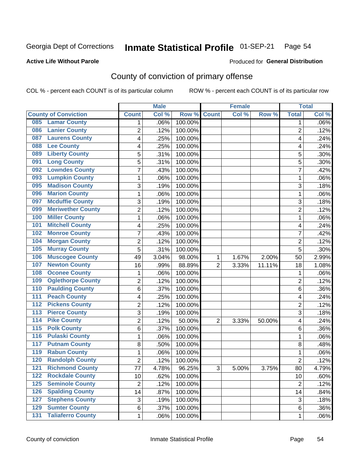#### Inmate Statistical Profile 01-SEP-21 Page 54

### **Active Life Without Parole**

#### Produced for General Distribution

# County of conviction of primary offense

COL % - percent each COUNT is of its particular column

|                                              |                | <b>Male</b> |         |                | <b>Female</b> |        |                | <b>Total</b> |
|----------------------------------------------|----------------|-------------|---------|----------------|---------------|--------|----------------|--------------|
| <b>County of Conviction</b>                  | <b>Count</b>   | Col %       | Row %   | <b>Count</b>   | Col %         | Row %  | <b>Total</b>   | Col %        |
| <b>Lamar County</b><br>085                   | 1              | .06%        | 100.00% |                |               |        | 1              | $.06\%$      |
| <b>Lanier County</b><br>086                  | $\overline{2}$ | .12%        | 100.00% |                |               |        | $\overline{2}$ | .12%         |
| <b>Laurens County</b><br>087                 | 4              | .25%        | 100.00% |                |               |        | 4              | .24%         |
| <b>Lee County</b><br>088                     | 4              | .25%        | 100.00% |                |               |        | 4              | .24%         |
| <b>Liberty County</b><br>089                 | 5              | .31%        | 100.00% |                |               |        | 5              | .30%         |
| <b>Long County</b><br>091                    | 5              | .31%        | 100.00% |                |               |        | 5              | .30%         |
| <b>Lowndes County</b><br>092                 | 7              | .43%        | 100.00% |                |               |        | $\overline{7}$ | .42%         |
| <b>Lumpkin County</b><br>093                 | 1              | .06%        | 100.00% |                |               |        | $\mathbf{1}$   | .06%         |
| <b>Madison County</b><br>095                 | 3              | .19%        | 100.00% |                |               |        | 3              | .18%         |
| <b>Marion County</b><br>096                  | 1              | .06%        | 100.00% |                |               |        | $\mathbf{1}$   | .06%         |
| <b>Mcduffie County</b><br>097                | 3              | .19%        | 100.00% |                |               |        | 3              | .18%         |
| <b>Meriwether County</b><br>099              | $\overline{2}$ | .12%        | 100.00% |                |               |        | $\overline{2}$ | .12%         |
| <b>Miller County</b><br>100                  | 1              | .06%        | 100.00% |                |               |        | $\mathbf{1}$   | .06%         |
| <b>Mitchell County</b><br>101                | 4              | .25%        | 100.00% |                |               |        | 4              | .24%         |
| <b>Monroe County</b><br>102                  | 7              | .43%        | 100.00% |                |               |        | $\overline{7}$ | .42%         |
| <b>Morgan County</b><br>104                  | $\overline{2}$ | .12%        | 100.00% |                |               |        | $\overline{2}$ | .12%         |
| <b>Murray County</b><br>105                  | 5              | .31%        | 100.00% |                |               |        | 5              | .30%         |
| <b>Muscogee County</b><br>106                | 49             | 3.04%       | 98.00%  | 1              | 1.67%         | 2.00%  | 50             | 2.99%        |
| <b>Newton County</b><br>107                  | 16             | .99%        | 88.89%  | $\overline{2}$ | 3.33%         | 11.11% | 18             | 1.08%        |
| <b>Oconee County</b><br>108                  | 1              | .06%        | 100.00% |                |               |        | 1              | .06%         |
| <b>Oglethorpe County</b><br>109              | 2              | .12%        | 100.00% |                |               |        | $\overline{2}$ | .12%         |
| <b>Paulding County</b><br>110                | 6              | .37%        | 100.00% |                |               |        | 6              | .36%         |
| <b>Peach County</b><br>111                   | 4              | .25%        | 100.00% |                |               |        | 4              | .24%         |
| <b>Pickens County</b><br>$\overline{112}$    | $\overline{2}$ | .12%        | 100.00% |                |               |        | $\overline{2}$ | .12%         |
| <b>Pierce County</b><br>113                  | 3              | .19%        | 100.00% |                |               |        | 3              | .18%         |
| <b>Pike County</b><br>$\overline{114}$       | $\overline{2}$ | .12%        | 50.00%  | $\overline{2}$ | 3.33%         | 50.00% | 4              | .24%         |
| <b>Polk County</b><br>$\overline{115}$       | 6              | .37%        | 100.00% |                |               |        | 6              | .36%         |
| <b>Pulaski County</b><br>116                 | 1              | .06%        | 100.00% |                |               |        | $\mathbf{1}$   | .06%         |
| <b>Putnam County</b><br>117                  | 8              | .50%        | 100.00% |                |               |        | 8              | .48%         |
| <b>Rabun County</b><br>119                   | 1              | .06%        | 100.00% |                |               |        | $\mathbf{1}$   | .06%         |
| <b>Randolph County</b><br>120                | $\overline{2}$ | .12%        | 100.00% |                |               |        | $\overline{2}$ | .12%         |
| <b>Richmond County</b><br>121                | 77             | 4.78%       | 96.25%  | 3              | 5.00%         | 3.75%  | 80             | 4.79%        |
| <b>Rockdale County</b><br>122                | 10             | .62%        | 100.00% |                |               |        | 10             | .60%         |
| <b>Seminole County</b><br>$125$              | $\overline{2}$ | .12%        | 100.00% |                |               |        | $\overline{2}$ | .12%         |
| <b>Spalding County</b><br>126                | 14             | .87%        | 100.00% |                |               |        | 14             | .84%         |
| <b>Stephens County</b><br>127                | 3              | .19%        | 100.00% |                |               |        | 3              | .18%         |
| <b>Sumter County</b><br>129                  | 6              | .37%        | 100.00% |                |               |        | 6              | .36%         |
| <b>Taliaferro County</b><br>$\overline{131}$ | $\mathbf{1}$   | .06%        | 100.00% |                |               |        | 1              | .06%         |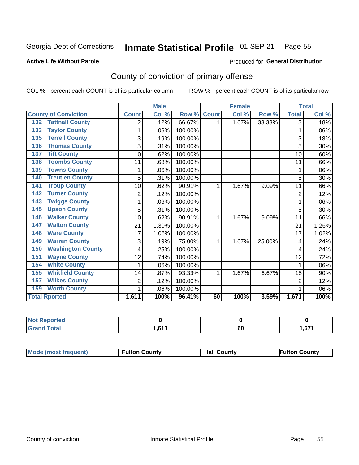#### Inmate Statistical Profile 01-SEP-21 Page 55

#### **Active Life Without Parole**

### Produced for General Distribution

# County of conviction of primary offense

COL % - percent each COUNT is of its particular column

|                                 |                | <b>Male</b> |         |              | <b>Female</b> |        | <b>Total</b>   |       |
|---------------------------------|----------------|-------------|---------|--------------|---------------|--------|----------------|-------|
| <b>County of Conviction</b>     | <b>Count</b>   | Col %       | Row %   | <b>Count</b> | Col %         | Row %  | <b>Total</b>   | Col % |
| <b>Tattnall County</b><br>132   | 2              | .12%        | 66.67%  | 1            | 1.67%         | 33.33% | 3              | .18%  |
| <b>Taylor County</b><br>133     | 1              | .06%        | 100.00% |              |               |        | 1              | .06%  |
| <b>Terrell County</b><br>135    | 3              | .19%        | 100.00% |              |               |        | 3              | .18%  |
| <b>Thomas County</b><br>136     | 5              | .31%        | 100.00% |              |               |        | 5              | .30%  |
| <b>Tift County</b><br>137       | 10             | .62%        | 100.00% |              |               |        | 10             | .60%  |
| <b>Toombs County</b><br>138     | 11             | .68%        | 100.00% |              |               |        | 11             | .66%  |
| <b>Towns County</b><br>139      | 1              | .06%        | 100.00% |              |               |        | 1              | .06%  |
| <b>Treutlen County</b><br>140   | 5              | .31%        | 100.00% |              |               |        | 5              | .30%  |
| <b>Troup County</b><br>141      | 10             | .62%        | 90.91%  | 1            | 1.67%         | 9.09%  | 11             | .66%  |
| <b>Turner County</b><br>142     | $\overline{2}$ | .12%        | 100.00% |              |               |        | $\overline{2}$ | .12%  |
| <b>Twiggs County</b><br>143     |                | .06%        | 100.00% |              |               |        | 1              | .06%  |
| <b>Upson County</b><br>145      | 5              | .31%        | 100.00% |              |               |        | 5              | .30%  |
| <b>Walker County</b><br>146     | 10             | .62%        | 90.91%  | 1            | 1.67%         | 9.09%  | 11             | .66%  |
| <b>Walton County</b><br>147     | 21             | 1.30%       | 100.00% |              |               |        | 21             | 1.26% |
| <b>Ware County</b><br>148       | 17             | 1.06%       | 100.00% |              |               |        | 17             | 1.02% |
| <b>Warren County</b><br>149     | 3              | .19%        | 75.00%  | 1            | 1.67%         | 25.00% | 4              | .24%  |
| <b>Washington County</b><br>150 | 4              | .25%        | 100.00% |              |               |        | 4              | .24%  |
| <b>Wayne County</b><br>151      | 12             | .74%        | 100.00% |              |               |        | 12             | .72%  |
| <b>White County</b><br>154      |                | .06%        | 100.00% |              |               |        | 1              | .06%  |
| <b>Whitfield County</b><br>155  | 14             | .87%        | 93.33%  | 1            | 1.67%         | 6.67%  | 15             | .90%  |
| <b>Wilkes County</b><br>157     | 2              | .12%        | 100.00% |              |               |        | $\overline{2}$ | .12%  |
| <b>Worth County</b><br>159      | 1              | .06%        | 100.00% |              |               |        | 1              | .06%  |
| <b>Total Rported</b>            | 1,611          | 100%        | 96.41%  | 60           | 100%          | 3.59%  | 1,671          | 100%  |

| rted  |     |    |          |
|-------|-----|----|----------|
| Coto! | 644 | 60 | $c - 74$ |

| <b>Mode (most frequent)</b> | <b>Fulton County</b> | <b>Hall County</b> | <b>Fulton County</b> |
|-----------------------------|----------------------|--------------------|----------------------|
|-----------------------------|----------------------|--------------------|----------------------|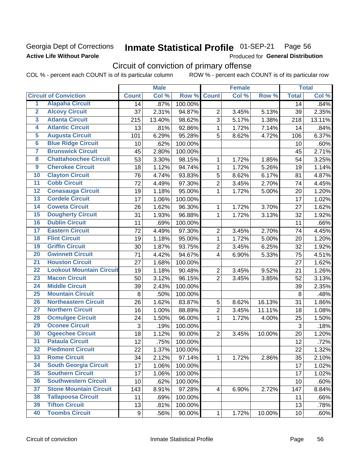## **Georgia Dept of Corrections Active Life Without Parole**

#### Inmate Statistical Profile 01-SEP-21 Page 56

Produced for General Distribution

# Circuit of conviction of primary offense

COL % - percent each COUNT is of its particular column ROW % - percent each COUNT is of its particular row

|                         |                                 |              | <b>Male</b> |         |                | <b>Female</b> |        | <b>Total</b> |        |  |
|-------------------------|---------------------------------|--------------|-------------|---------|----------------|---------------|--------|--------------|--------|--|
|                         | <b>Circuit of Conviction</b>    | <b>Count</b> | Col %       | Row %   | <b>Count</b>   | Col %         | Row %  | <b>Total</b> | Col %  |  |
| 1                       | <b>Alapaha Circuit</b>          | 14           | .87%        | 100.00% |                |               |        | 14           | .84%   |  |
| $\overline{2}$          | <b>Alcovy Circuit</b>           | 37           | 2.31%       | 94.87%  | $\overline{2}$ | 3.45%         | 5.13%  | 39           | 2.35%  |  |
| $\overline{\mathbf{3}}$ | <b>Atlanta Circuit</b>          | 215          | 13.40%      | 98.62%  | 3              | 5.17%         | 1.38%  | 218          | 13.11% |  |
| 4                       | <b>Atlantic Circuit</b>         | 13           | .81%        | 92.86%  | $\mathbf 1$    | 1.72%         | 7.14%  | 14           | .84%   |  |
| $\overline{5}$          | <b>Augusta Circuit</b>          | 101          | 6.29%       | 95.28%  | 5              | 8.62%         | 4.72%  | 106          | 6.37%  |  |
| $\overline{6}$          | <b>Blue Ridge Circuit</b>       | 10           | .62%        | 100.00% |                |               |        | 10           | .60%   |  |
| 7                       | <b>Brunswick Circuit</b>        | 45           | 2.80%       | 100.00% |                |               |        | 45           | 2.71%  |  |
| $\overline{\mathbf{8}}$ | <b>Chattahoochee Circuit</b>    | 53           | 3.30%       | 98.15%  | $\mathbf 1$    | 1.72%         | 1.85%  | 54           | 3.25%  |  |
| $\overline{9}$          | <b>Cherokee Circuit</b>         | 18           | 1.12%       | 94.74%  | $\mathbf{1}$   | 1.72%         | 5.26%  | 19           | 1.14%  |  |
| 10                      | <b>Clayton Circuit</b>          | 76           | 4.74%       | 93.83%  | 5              | 8.62%         | 6.17%  | 81           | 4.87%  |  |
| $\overline{11}$         | <b>Cobb Circuit</b>             | 72           | 4.49%       | 97.30%  | $\overline{2}$ | 3.45%         | 2.70%  | 74           | 4.45%  |  |
| $\overline{12}$         | <b>Conasauga Circuit</b>        | 19           | 1.18%       | 95.00%  | 1              | 1.72%         | 5.00%  | 20           | 1.20%  |  |
| 13                      | <b>Cordele Circuit</b>          | 17           | 1.06%       | 100.00% |                |               |        | 17           | 1.02%  |  |
| $\overline{14}$         | <b>Coweta Circuit</b>           | 26           | 1.62%       | 96.30%  | $\mathbf{1}$   | 1.72%         | 3.70%  | 27           | 1.62%  |  |
| 15                      | <b>Dougherty Circuit</b>        | 31           | 1.93%       | 96.88%  | $\mathbf 1$    | 1.72%         | 3.13%  | 32           | 1.92%  |  |
| 16                      | <b>Dublin Circuit</b>           | 11           | .69%        | 100.00% |                |               |        | 11           | .66%   |  |
| 17                      | <b>Eastern Circuit</b>          | 72           | 4.49%       | 97.30%  | $\overline{2}$ | 3.45%         | 2.70%  | 74           | 4.45%  |  |
| 18                      | <b>Flint Circuit</b>            | 19           | 1.18%       | 95.00%  | $\mathbf{1}$   | 1.72%         | 5.00%  | 20           | 1.20%  |  |
| 19                      | <b>Griffin Circuit</b>          | 30           | 1.87%       | 93.75%  | $\overline{2}$ | 3.45%         | 6.25%  | 32           | 1.92%  |  |
| 20                      | <b>Gwinnett Circuit</b>         | 71           | 4.42%       | 94.67%  | $\overline{4}$ | 6.90%         | 5.33%  | 75           | 4.51%  |  |
| $\overline{21}$         | <b>Houston Circuit</b>          | 27           | 1.68%       | 100.00% |                |               |        | 27           | 1.62%  |  |
| $\overline{22}$         | <b>Lookout Mountain Circuit</b> | 19           | 1.18%       | 90.48%  | $\overline{2}$ | 3.45%         | 9.52%  | 21           | 1.26%  |  |
| 23                      | <b>Macon Circuit</b>            | 50           | 3.12%       | 96.15%  | $\overline{2}$ | 3.45%         | 3.85%  | 52           | 3.13%  |  |
| $\overline{24}$         | <b>Middle Circuit</b>           | 39           | 2.43%       | 100.00% |                |               |        | 39           | 2.35%  |  |
| 25                      | <b>Mountain Circuit</b>         | 8            | .50%        | 100.00% |                |               |        | 8            | .48%   |  |
| 26                      | <b>Northeastern Circuit</b>     | 26           | 1.62%       | 83.87%  | 5              | 8.62%         | 16.13% | 31           | 1.86%  |  |
| $\overline{27}$         | <b>Northern Circuit</b>         | 16           | 1.00%       | 88.89%  | $\overline{2}$ | 3.45%         | 11.11% | 18           | 1.08%  |  |
| 28                      | <b>Ocmulgee Circuit</b>         | 24           | 1.50%       | 96.00%  | 1              | 1.72%         | 4.00%  | 25           | 1.50%  |  |
| 29                      | <b>Oconee Circuit</b>           | 3            | .19%        | 100.00% |                |               |        | 3            | .18%   |  |
| 30                      | <b>Ogeechee Circuit</b>         | 18           | 1.12%       | 90.00%  | $\overline{2}$ | 3.45%         | 10.00% | 20           | 1.20%  |  |
| $\overline{31}$         | <b>Pataula Circuit</b>          | 12           | .75%        | 100.00% |                |               |        | 12           | .72%   |  |
| 32                      | <b>Piedmont Circuit</b>         | 22           | 1.37%       | 100.00% |                |               |        | 22           | 1.32%  |  |
| 33                      | <b>Rome Circuit</b>             | 34           | 2.12%       | 97.14%  | $\mathbf{1}$   | 1.72%         | 2.86%  | 35           | 2.10%  |  |
| 34                      | <b>South Georgia Circuit</b>    | 17           | 1.06%       | 100.00% |                |               |        | 17           | 1.02%  |  |
| 35                      | <b>Southern Circuit</b>         | 17           | 1.06%       | 100.00% |                |               |        | 17           | 1.02%  |  |
| 36                      | <b>Southwestern Circuit</b>     | 10           | .62%        | 100.00% |                |               |        | 10           | .60%   |  |
| 37                      | <b>Stone Mountain Circuit</b>   | 143          | 8.91%       | 97.28%  | $\overline{4}$ | 6.90%         | 2.72%  | 147          | 8.84%  |  |
| 38                      | <b>Tallapoosa Circuit</b>       | 11           | .69%        | 100.00% |                |               |        | 11           | .66%   |  |
| 39                      | <b>Tifton Circuit</b>           | 13           | .81%        | 100.00% |                |               |        | 13           | .78%   |  |
| 40                      | <b>Toombs Circuit</b>           | 9            | .56%        | 90.00%  | $\mathbf{1}$   | 1.72%         | 10.00% | 10           | .60%   |  |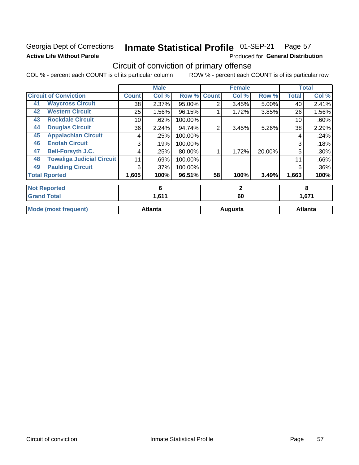# **Georgia Dept of Corrections Active Life Without Parole**

#### Inmate Statistical Profile 01-SEP-21 Page 57

Produced for General Distribution

# Circuit of conviction of primary offense

COL % - percent each COUNT is of its particular column ROW % - percent each COUNT is of its particular row

|    |                                  |              | <b>Male</b>    |         |                | <b>Female</b> |        | <b>Total</b>   |       |
|----|----------------------------------|--------------|----------------|---------|----------------|---------------|--------|----------------|-------|
|    | <b>Circuit of Conviction</b>     | <b>Count</b> | Col %          | Row %   | <b>Count</b>   | Col %         | Row %  | <b>Total</b>   | Col % |
| 41 | <b>Waycross Circuit</b>          | 38           | 2.37%          | 95.00%  | $\overline{2}$ | 3.45%         | 5.00%  | 40             | 2.41% |
| 42 | <b>Western Circuit</b>           | 25           | 1.56%          | 96.15%  |                | 1.72%         | 3.85%  | 26             | 1.56% |
| 43 | <b>Rockdale Circuit</b>          | 10           | .62%           | 100.00% |                |               |        | 10             | .60%  |
| 44 | <b>Douglas Circuit</b>           | 36           | 2.24%          | 94.74%  | $\overline{2}$ | 3.45%         | 5.26%  | 38             | 2.29% |
| 45 | <b>Appalachian Circuit</b>       | 4            | .25%           | 100.00% |                |               |        | 4              | .24%  |
| 46 | <b>Enotah Circuit</b>            | 3            | .19%           | 100.00% |                |               |        | 3              | .18%  |
| 47 | <b>Bell-Forsyth J.C.</b>         | 4            | .25%           | 80.00%  |                | 1.72%         | 20.00% | 5              | .30%  |
| 48 | <b>Towaliga Judicial Circuit</b> | 11           | .69%           | 100.00% |                |               |        | 11             | .66%  |
| 49 | <b>Paulding Circuit</b>          | 6            | .37%           | 100.00% |                |               |        | 6              | .36%  |
|    | <b>Total Rported</b>             | 1,605        | 100%           | 96.51%  | 58             | 100%          | 3.49%  | 1,663          | 100%  |
|    | <b>Not Reported</b>              |              | 6              |         | $\mathbf{2}$   |               |        | 8              |       |
|    | <b>Grand Total</b>               |              | 1,611          |         |                | 60            |        | 1,671          |       |
|    | <b>Mode (most frequent)</b>      |              | <b>Atlanta</b> |         | Augusta        |               |        | <b>Atlanta</b> |       |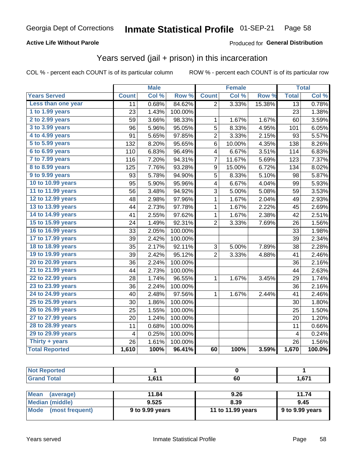### **Active Life Without Parole**

#### Produced for General Distribution

# Years served (jail + prison) in this incarceration

COL % - percent each COUNT is of its particular column

|                       |              | <b>Male</b> |                  |                | <b>Female</b> |        |                         | <b>Total</b> |
|-----------------------|--------------|-------------|------------------|----------------|---------------|--------|-------------------------|--------------|
| <b>Years Served</b>   | <b>Count</b> | Col %       | Row <sup>%</sup> | <b>Count</b>   | Col %         | Row %  | <b>Total</b>            | Col %        |
| Less than one year    | 11           | 0.68%       | 84.62%           | $\overline{2}$ | 3.33%         | 15.38% | $\overline{13}$         | 0.78%        |
| 1 to 1.99 years       | 23           | 1.43%       | 100.00%          |                |               |        | 23                      | 1.38%        |
| 2 to 2.99 years       | 59           | 3.66%       | 98.33%           | 1              | 1.67%         | 1.67%  | 60                      | 3.59%        |
| 3 to 3.99 years       | 96           | 5.96%       | 95.05%           | 5              | 8.33%         | 4.95%  | 101                     | 6.05%        |
| 4 to 4.99 years       | 91           | 5.65%       | 97.85%           | $\overline{c}$ | 3.33%         | 2.15%  | 93                      | 5.57%        |
| 5 to 5.99 years       | 132          | 8.20%       | 95.65%           | 6              | 10.00%        | 4.35%  | 138                     | 8.26%        |
| 6 to 6.99 years       | 110          | 6.83%       | 96.49%           | 4              | 6.67%         | 3.51%  | 114                     | 6.83%        |
| 7 to 7.99 years       | 116          | 7.20%       | 94.31%           | 7              | 11.67%        | 5.69%  | 123                     | 7.37%        |
| 8 to 8.99 years       | 125          | 7.76%       | 93.28%           | 9              | 15.00%        | 6.72%  | 134                     | 8.02%        |
| 9 to 9.99 years       | 93           | 5.78%       | 94.90%           | 5              | 8.33%         | 5.10%  | 98                      | 5.87%        |
| 10 to 10.99 years     | 95           | 5.90%       | 95.96%           | 4              | 6.67%         | 4.04%  | 99                      | 5.93%        |
| 11 to 11.99 years     | 56           | 3.48%       | 94.92%           | 3              | 5.00%         | 5.08%  | 59                      | 3.53%        |
| 12 to 12.99 years     | 48           | 2.98%       | 97.96%           | $\mathbf{1}$   | 1.67%         | 2.04%  | 49                      | 2.93%        |
| 13 to 13.99 years     | 44           | 2.73%       | 97.78%           | $\mathbf 1$    | 1.67%         | 2.22%  | 45                      | 2.69%        |
| 14 to 14.99 years     | 41           | 2.55%       | 97.62%           | $\mathbf 1$    | 1.67%         | 2.38%  | 42                      | 2.51%        |
| 15 to 15.99 years     | 24           | 1.49%       | 92.31%           | $\overline{2}$ | 3.33%         | 7.69%  | 26                      | 1.56%        |
| 16 to 16.99 years     | 33           | 2.05%       | 100.00%          |                |               |        | 33                      | 1.98%        |
| 17 to 17.99 years     | 39           | 2.42%       | 100.00%          |                |               |        | 39                      | 2.34%        |
| 18 to 18.99 years     | 35           | 2.17%       | 92.11%           | 3              | 5.00%         | 7.89%  | 38                      | 2.28%        |
| 19 to 19.99 years     | 39           | 2.42%       | 95.12%           | $\overline{2}$ | 3.33%         | 4.88%  | 41                      | 2.46%        |
| 20 to 20.99 years     | 36           | 2.24%       | 100.00%          |                |               |        | 36                      | 2.16%        |
| 21 to 21.99 years     | 44           | 2.73%       | 100.00%          |                |               |        | 44                      | 2.63%        |
| 22 to 22.99 years     | 28           | 1.74%       | 96.55%           | 1              | 1.67%         | 3.45%  | 29                      | 1.74%        |
| 23 to 23.99 years     | 36           | 2.24%       | 100.00%          |                |               |        | 36                      | 2.16%        |
| 24 to 24.99 years     | 40           | 2.48%       | 97.56%           | 1              | 1.67%         | 2.44%  | 41                      | 2.46%        |
| 25 to 25.99 years     | 30           | 1.86%       | 100.00%          |                |               |        | 30                      | 1.80%        |
| 26 to 26.99 years     | 25           | 1.55%       | 100.00%          |                |               |        | 25                      | 1.50%        |
| 27 to 27.99 years     | 20           | 1.24%       | 100.00%          |                |               |        | 20                      | 1.20%        |
| 28 to 28.99 years     | 11           | 0.68%       | 100.00%          |                |               |        | 11                      | 0.66%        |
| 29 to 29.99 years     | 4            | 0.25%       | 100.00%          |                |               |        | $\overline{\mathbf{4}}$ | 0.24%        |
| Thirty + years        | 26           | 1.61%       | 100.00%          |                |               |        | 26                      | 1.56%        |
| <b>Total Reported</b> | 1,610        | 100%        | 96.41%           | 60             | 100%          | 3.59%  | 1,670                   | 100.0%       |
|                       |              |             |                  |                |               |        |                         |              |

| <b>Not Reported</b>     |                 |                   |                 |  |
|-------------------------|-----------------|-------------------|-----------------|--|
| <b>Grand Total</b>      | 1.611           | 60                | 1,671           |  |
|                         |                 |                   |                 |  |
| Mean<br>(average)       | 11.84           | 9.26              | 11.74           |  |
| <b>Median (middle)</b>  | 9.525           | 8.39              | 9.45            |  |
| (most frequent)<br>Mode | 9 to 9.99 years | 11 to 11.99 years | 9 to 9.99 years |  |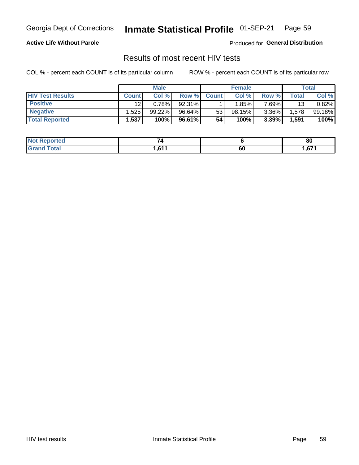#### Inmate Statistical Profile 01-SEP-21 Page 59

### **Active Life Without Parole**

Produced for General Distribution

# Results of most recent HIV tests

COL % - percent each COUNT is of its particular column

|                         | <b>Male</b>  |        |        | <b>Female</b> |        |          | Total |        |
|-------------------------|--------------|--------|--------|---------------|--------|----------|-------|--------|
| <b>HIV Test Results</b> | <b>Count</b> | Col%   | Row %I | <b>Count</b>  | Col %  | Row %    | Total | Col %  |
| <b>Positive</b>         | 12           | 0.78%  | 92.31% |               | 1.85%  | 7 69%∎   | 13    | 0.82%  |
| <b>Negative</b>         | .525         | 99.22% | 96.64% | 53            | 98.15% | $3.36\%$ | .578  | 99.18% |
| <b>Total Reported</b>   | .537         | 100%   | 96.61% | 54            | 100%   | 3.39%    | 1,591 | 100%   |

| <b>Not Reported</b> |                 |    | 80     |
|---------------------|-----------------|----|--------|
| <b>Grand Total</b>  | C <sub>44</sub> | ~  | c74    |
|                     | I I O I I       | юL | / ס, ا |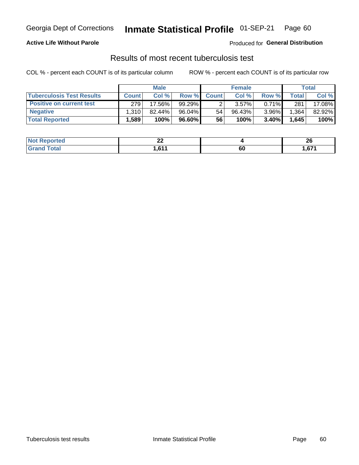# Georgia Dept of Corrections **Inmate Statistical Profile** 01-SEP-21 Page 60

### **Active Life Without Parole**

Produced for **General Distribution**

# Results of most recent tuberculosis test

COL % - percent each COUNT is of its particular column ROW % - percent each COUNT is of its particular row

|                                  | <b>Male</b>  |        |          | <b>Female</b> |           |          | Total        |        |
|----------------------------------|--------------|--------|----------|---------------|-----------|----------|--------------|--------|
| <b>Tuberculosis Test Results</b> | <b>Count</b> | Col %  | Row %I   | <b>Count</b>  | Col %     | Row %    | <b>Total</b> | Col %  |
| <b>Positive on current test</b>  | 279          | 17.56% | 99.29%   |               | 3.57%     | $0.71\%$ | 281          | 17.08% |
| <b>Negative</b>                  | 1.310        | 82.44% | 96.04%   | 54            | $96.43\%$ | $3.96\%$ | .364         | 82.92% |
| <b>Total Reported</b>            | ,589         | 100%   | 96.60% l | 56            | 100%      | 3.40%    | 1,645        | 100%   |

| <b>Not Reported</b>        | n,<br>--   |    | oc.<br>ZV               |
|----------------------------|------------|----|-------------------------|
| <b>Fotal</b><br><b>Gro</b> | <b>CAA</b> | 60 | C <sub>74</sub><br>1,01 |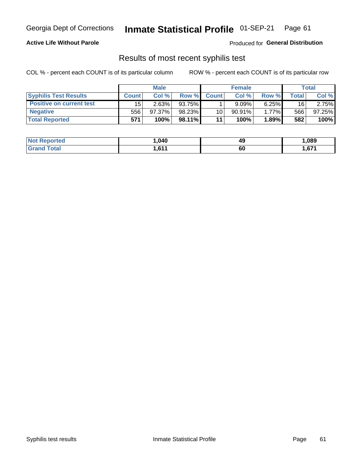# Georgia Dept of Corrections **Inmate Statistical Profile** 01-SEP-21 Page 61

### **Active Life Without Parole**

Produced for **General Distribution**

# Results of most recent syphilis test

COL % - percent each COUNT is of its particular column ROW % - percent each COUNT is of its particular row

|                                 | <b>Male</b>  |        |        | <b>Female</b>   |           |          | Total |        |
|---------------------------------|--------------|--------|--------|-----------------|-----------|----------|-------|--------|
| <b>Syphilis Test Results</b>    | <b>Count</b> | Col%   | Row %I | <b>Count</b>    | Col%      | Row %    | Total | Col %  |
| <b>Positive on current test</b> | 15           | 2.63%  | 93.75% |                 | $9.09\%$  | $6.25\%$ | 16    | 2.75%  |
| <b>Negative</b>                 | 556          | 97.37% | 98.23% | 10 <sup>1</sup> | $90.91\%$ | 1.77%    | 566   | 97.25% |
| <b>Total Reported</b>           | 571          | 100%   | 98.11% | 11              | 100%      | 1.89%    | 582   | 100%   |

| <b>Not Reported</b> | .040                        | 49 | ,089  |
|---------------------|-----------------------------|----|-------|
| <b>Grand Total</b>  | C <sub>44</sub><br>ו ו ס, ו | 60 | 671,ا |